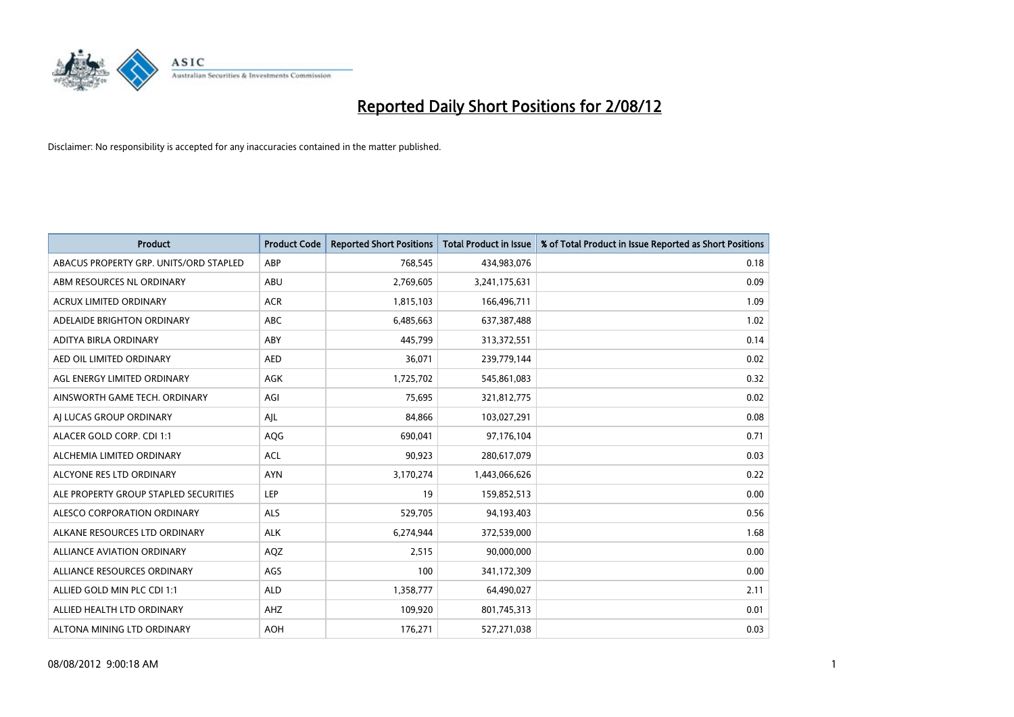

| <b>Product</b>                         | <b>Product Code</b> | <b>Reported Short Positions</b> | <b>Total Product in Issue</b> | % of Total Product in Issue Reported as Short Positions |
|----------------------------------------|---------------------|---------------------------------|-------------------------------|---------------------------------------------------------|
| ABACUS PROPERTY GRP. UNITS/ORD STAPLED | ABP                 | 768,545                         | 434,983,076                   | 0.18                                                    |
| ABM RESOURCES NL ORDINARY              | <b>ABU</b>          | 2,769,605                       | 3,241,175,631                 | 0.09                                                    |
| ACRUX LIMITED ORDINARY                 | <b>ACR</b>          | 1,815,103                       | 166,496,711                   | 1.09                                                    |
| ADELAIDE BRIGHTON ORDINARY             | <b>ABC</b>          | 6,485,663                       | 637,387,488                   | 1.02                                                    |
| ADITYA BIRLA ORDINARY                  | ABY                 | 445,799                         | 313,372,551                   | 0.14                                                    |
| AED OIL LIMITED ORDINARY               | <b>AED</b>          | 36,071                          | 239,779,144                   | 0.02                                                    |
| AGL ENERGY LIMITED ORDINARY            | AGK                 | 1,725,702                       | 545,861,083                   | 0.32                                                    |
| AINSWORTH GAME TECH. ORDINARY          | AGI                 | 75,695                          | 321,812,775                   | 0.02                                                    |
| AI LUCAS GROUP ORDINARY                | AJL                 | 84,866                          | 103,027,291                   | 0.08                                                    |
| ALACER GOLD CORP. CDI 1:1              | <b>AQG</b>          | 690,041                         | 97,176,104                    | 0.71                                                    |
| ALCHEMIA LIMITED ORDINARY              | <b>ACL</b>          | 90,923                          | 280,617,079                   | 0.03                                                    |
| ALCYONE RES LTD ORDINARY               | <b>AYN</b>          | 3,170,274                       | 1,443,066,626                 | 0.22                                                    |
| ALE PROPERTY GROUP STAPLED SECURITIES  | LEP                 | 19                              | 159,852,513                   | 0.00                                                    |
| ALESCO CORPORATION ORDINARY            | <b>ALS</b>          | 529,705                         | 94,193,403                    | 0.56                                                    |
| ALKANE RESOURCES LTD ORDINARY          | <b>ALK</b>          | 6,274,944                       | 372,539,000                   | 1.68                                                    |
| ALLIANCE AVIATION ORDINARY             | AQZ                 | 2,515                           | 90,000,000                    | 0.00                                                    |
| ALLIANCE RESOURCES ORDINARY            | AGS                 | 100                             | 341,172,309                   | 0.00                                                    |
| ALLIED GOLD MIN PLC CDI 1:1            | <b>ALD</b>          | 1,358,777                       | 64,490,027                    | 2.11                                                    |
| ALLIED HEALTH LTD ORDINARY             | AHZ                 | 109,920                         | 801,745,313                   | 0.01                                                    |
| ALTONA MINING LTD ORDINARY             | <b>AOH</b>          | 176,271                         | 527,271,038                   | 0.03                                                    |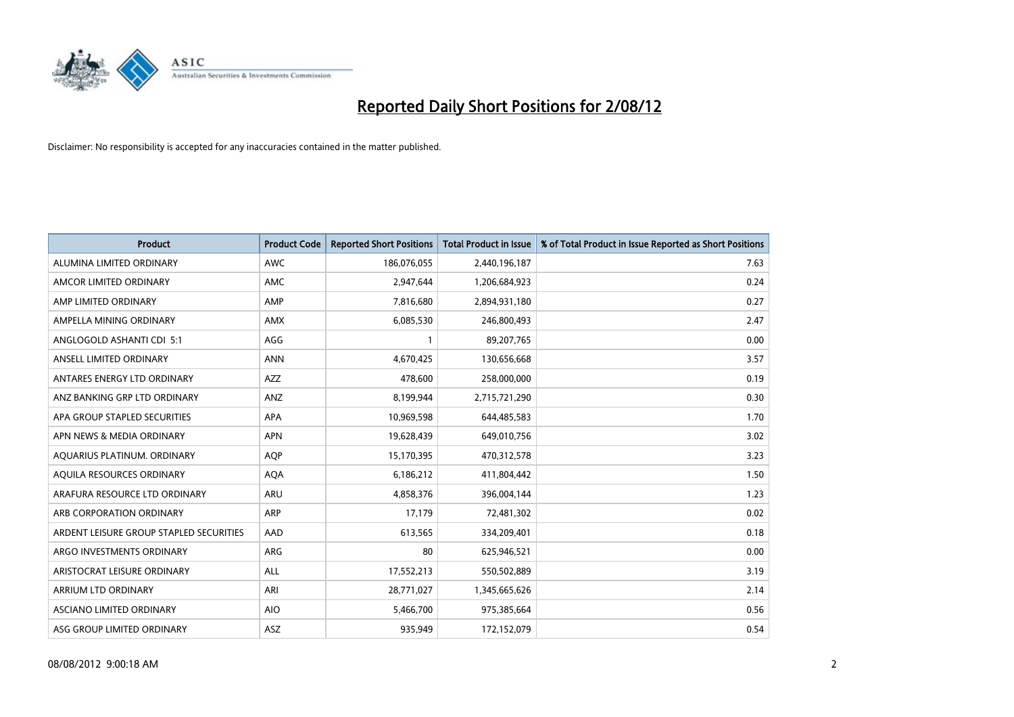

| <b>Product</b>                          | <b>Product Code</b> | <b>Reported Short Positions</b> | <b>Total Product in Issue</b> | % of Total Product in Issue Reported as Short Positions |
|-----------------------------------------|---------------------|---------------------------------|-------------------------------|---------------------------------------------------------|
| ALUMINA LIMITED ORDINARY                | <b>AWC</b>          | 186,076,055                     | 2,440,196,187                 | 7.63                                                    |
| AMCOR LIMITED ORDINARY                  | <b>AMC</b>          | 2,947,644                       | 1,206,684,923                 | 0.24                                                    |
| AMP LIMITED ORDINARY                    | AMP                 | 7,816,680                       | 2,894,931,180                 | 0.27                                                    |
| AMPELLA MINING ORDINARY                 | <b>AMX</b>          | 6,085,530                       | 246,800,493                   | 2.47                                                    |
| ANGLOGOLD ASHANTI CDI 5:1               | AGG                 |                                 | 89,207,765                    | 0.00                                                    |
| ANSELL LIMITED ORDINARY                 | <b>ANN</b>          | 4,670,425                       | 130,656,668                   | 3.57                                                    |
| ANTARES ENERGY LTD ORDINARY             | <b>AZZ</b>          | 478,600                         | 258,000,000                   | 0.19                                                    |
| ANZ BANKING GRP LTD ORDINARY            | ANZ                 | 8,199,944                       | 2,715,721,290                 | 0.30                                                    |
| APA GROUP STAPLED SECURITIES            | <b>APA</b>          | 10,969,598                      | 644,485,583                   | 1.70                                                    |
| APN NEWS & MEDIA ORDINARY               | <b>APN</b>          | 19,628,439                      | 649,010,756                   | 3.02                                                    |
| AQUARIUS PLATINUM. ORDINARY             | <b>AOP</b>          | 15,170,395                      | 470,312,578                   | 3.23                                                    |
| AQUILA RESOURCES ORDINARY               | <b>AQA</b>          | 6,186,212                       | 411,804,442                   | 1.50                                                    |
| ARAFURA RESOURCE LTD ORDINARY           | <b>ARU</b>          | 4,858,376                       | 396,004,144                   | 1.23                                                    |
| ARB CORPORATION ORDINARY                | <b>ARP</b>          | 17,179                          | 72,481,302                    | 0.02                                                    |
| ARDENT LEISURE GROUP STAPLED SECURITIES | AAD                 | 613,565                         | 334,209,401                   | 0.18                                                    |
| ARGO INVESTMENTS ORDINARY               | <b>ARG</b>          | 80                              | 625,946,521                   | 0.00                                                    |
| ARISTOCRAT LEISURE ORDINARY             | <b>ALL</b>          | 17,552,213                      | 550,502,889                   | 3.19                                                    |
| ARRIUM LTD ORDINARY                     | ARI                 | 28,771,027                      | 1,345,665,626                 | 2.14                                                    |
| ASCIANO LIMITED ORDINARY                | <b>AIO</b>          | 5,466,700                       | 975,385,664                   | 0.56                                                    |
| ASG GROUP LIMITED ORDINARY              | <b>ASZ</b>          | 935.949                         | 172,152,079                   | 0.54                                                    |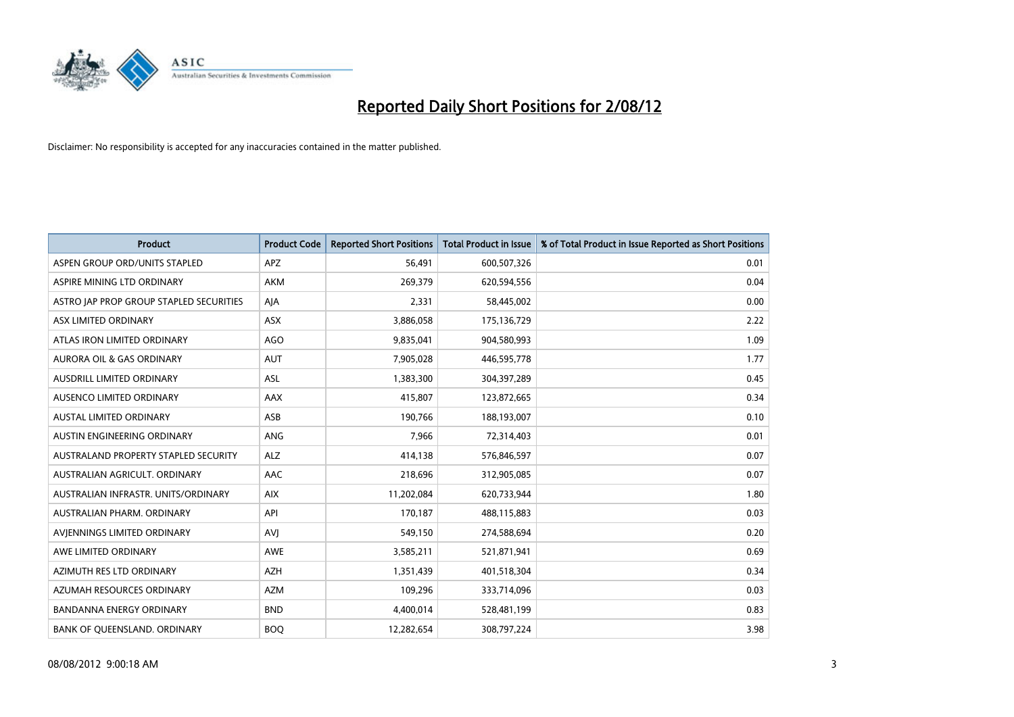

| <b>Product</b>                          | <b>Product Code</b> | <b>Reported Short Positions</b> | <b>Total Product in Issue</b> | % of Total Product in Issue Reported as Short Positions |
|-----------------------------------------|---------------------|---------------------------------|-------------------------------|---------------------------------------------------------|
| ASPEN GROUP ORD/UNITS STAPLED           | <b>APZ</b>          | 56,491                          | 600,507,326                   | 0.01                                                    |
| ASPIRE MINING LTD ORDINARY              | <b>AKM</b>          | 269,379                         | 620,594,556                   | 0.04                                                    |
| ASTRO JAP PROP GROUP STAPLED SECURITIES | AJA                 | 2,331                           | 58,445,002                    | 0.00                                                    |
| ASX LIMITED ORDINARY                    | ASX                 | 3,886,058                       | 175,136,729                   | 2.22                                                    |
| ATLAS IRON LIMITED ORDINARY             | AGO                 | 9,835,041                       | 904,580,993                   | 1.09                                                    |
| AURORA OIL & GAS ORDINARY               | <b>AUT</b>          | 7,905,028                       | 446,595,778                   | 1.77                                                    |
| AUSDRILL LIMITED ORDINARY               | <b>ASL</b>          | 1,383,300                       | 304,397,289                   | 0.45                                                    |
| AUSENCO LIMITED ORDINARY                | <b>AAX</b>          | 415,807                         | 123,872,665                   | 0.34                                                    |
| AUSTAL LIMITED ORDINARY                 | ASB                 | 190,766                         | 188,193,007                   | 0.10                                                    |
| AUSTIN ENGINEERING ORDINARY             | ANG                 | 7,966                           | 72,314,403                    | 0.01                                                    |
| AUSTRALAND PROPERTY STAPLED SECURITY    | <b>ALZ</b>          | 414,138                         | 576,846,597                   | 0.07                                                    |
| AUSTRALIAN AGRICULT, ORDINARY           | AAC                 | 218,696                         | 312,905,085                   | 0.07                                                    |
| AUSTRALIAN INFRASTR. UNITS/ORDINARY     | <b>AIX</b>          | 11,202,084                      | 620,733,944                   | 1.80                                                    |
| AUSTRALIAN PHARM, ORDINARY              | API                 | 170,187                         | 488,115,883                   | 0.03                                                    |
| AVIENNINGS LIMITED ORDINARY             | AVI                 | 549,150                         | 274,588,694                   | 0.20                                                    |
| AWE LIMITED ORDINARY                    | AWE                 | 3,585,211                       | 521,871,941                   | 0.69                                                    |
| AZIMUTH RES LTD ORDINARY                | <b>AZH</b>          | 1,351,439                       | 401,518,304                   | 0.34                                                    |
| AZUMAH RESOURCES ORDINARY               | <b>AZM</b>          | 109,296                         | 333,714,096                   | 0.03                                                    |
| <b>BANDANNA ENERGY ORDINARY</b>         | <b>BND</b>          | 4,400,014                       | 528,481,199                   | 0.83                                                    |
| BANK OF QUEENSLAND. ORDINARY            | <b>BOO</b>          | 12,282,654                      | 308,797,224                   | 3.98                                                    |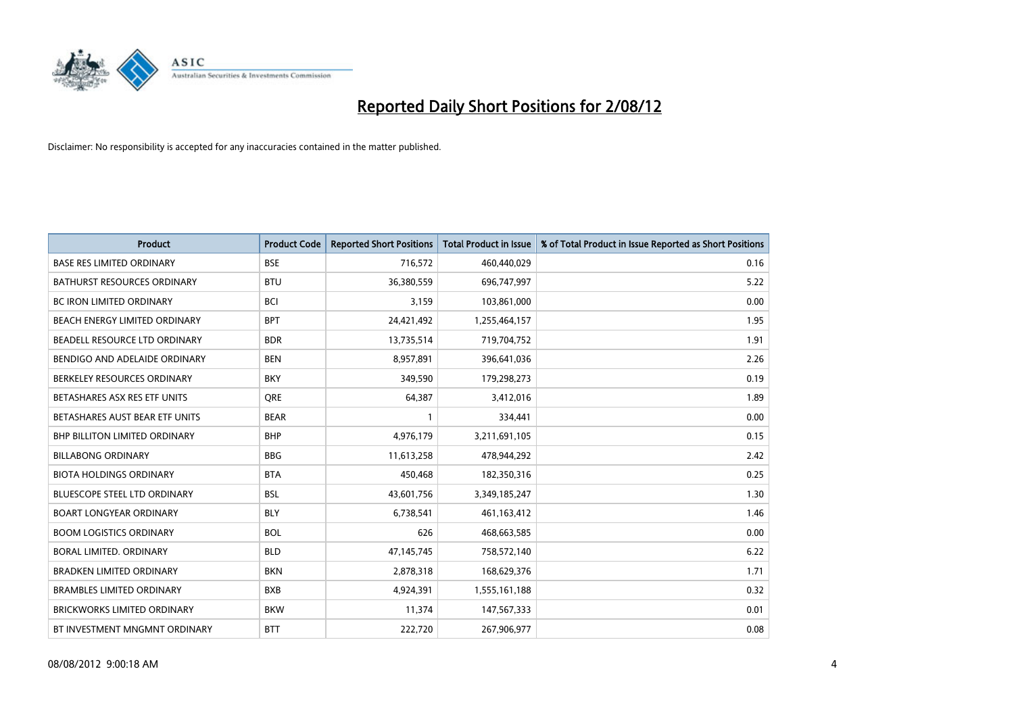

| <b>Product</b>                       | <b>Product Code</b> | <b>Reported Short Positions</b> | <b>Total Product in Issue</b> | % of Total Product in Issue Reported as Short Positions |
|--------------------------------------|---------------------|---------------------------------|-------------------------------|---------------------------------------------------------|
| <b>BASE RES LIMITED ORDINARY</b>     | <b>BSE</b>          | 716,572                         | 460,440,029                   | 0.16                                                    |
| <b>BATHURST RESOURCES ORDINARY</b>   | <b>BTU</b>          | 36,380,559                      | 696,747,997                   | 5.22                                                    |
| <b>BC IRON LIMITED ORDINARY</b>      | <b>BCI</b>          | 3,159                           | 103,861,000                   | 0.00                                                    |
| BEACH ENERGY LIMITED ORDINARY        | <b>BPT</b>          | 24,421,492                      | 1,255,464,157                 | 1.95                                                    |
| BEADELL RESOURCE LTD ORDINARY        | <b>BDR</b>          | 13,735,514                      | 719,704,752                   | 1.91                                                    |
| BENDIGO AND ADELAIDE ORDINARY        | <b>BEN</b>          | 8,957,891                       | 396,641,036                   | 2.26                                                    |
| BERKELEY RESOURCES ORDINARY          | <b>BKY</b>          | 349,590                         | 179,298,273                   | 0.19                                                    |
| BETASHARES ASX RES ETF UNITS         | <b>ORE</b>          | 64,387                          | 3,412,016                     | 1.89                                                    |
| BETASHARES AUST BEAR ETF UNITS       | <b>BEAR</b>         |                                 | 334,441                       | 0.00                                                    |
| <b>BHP BILLITON LIMITED ORDINARY</b> | <b>BHP</b>          | 4,976,179                       | 3,211,691,105                 | 0.15                                                    |
| <b>BILLABONG ORDINARY</b>            | <b>BBG</b>          | 11,613,258                      | 478,944,292                   | 2.42                                                    |
| <b>BIOTA HOLDINGS ORDINARY</b>       | <b>BTA</b>          | 450,468                         | 182,350,316                   | 0.25                                                    |
| <b>BLUESCOPE STEEL LTD ORDINARY</b>  | <b>BSL</b>          | 43,601,756                      | 3,349,185,247                 | 1.30                                                    |
| <b>BOART LONGYEAR ORDINARY</b>       | <b>BLY</b>          | 6,738,541                       | 461,163,412                   | 1.46                                                    |
| <b>BOOM LOGISTICS ORDINARY</b>       | <b>BOL</b>          | 626                             | 468,663,585                   | 0.00                                                    |
| BORAL LIMITED. ORDINARY              | <b>BLD</b>          | 47,145,745                      | 758,572,140                   | 6.22                                                    |
| <b>BRADKEN LIMITED ORDINARY</b>      | <b>BKN</b>          | 2,878,318                       | 168,629,376                   | 1.71                                                    |
| <b>BRAMBLES LIMITED ORDINARY</b>     | <b>BXB</b>          | 4,924,391                       | 1,555,161,188                 | 0.32                                                    |
| <b>BRICKWORKS LIMITED ORDINARY</b>   | <b>BKW</b>          | 11,374                          | 147,567,333                   | 0.01                                                    |
| BT INVESTMENT MNGMNT ORDINARY        | <b>BTT</b>          | 222,720                         | 267,906,977                   | 0.08                                                    |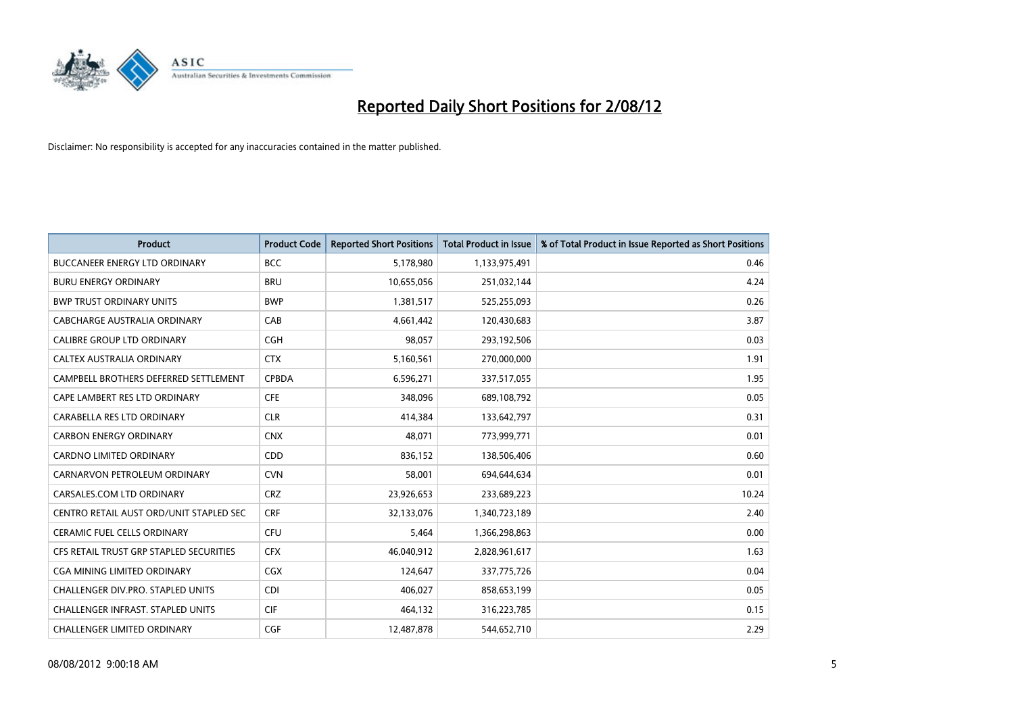

| <b>Product</b>                           | <b>Product Code</b> | <b>Reported Short Positions</b> | <b>Total Product in Issue</b> | % of Total Product in Issue Reported as Short Positions |
|------------------------------------------|---------------------|---------------------------------|-------------------------------|---------------------------------------------------------|
| <b>BUCCANEER ENERGY LTD ORDINARY</b>     | <b>BCC</b>          | 5,178,980                       | 1,133,975,491                 | 0.46                                                    |
| <b>BURU ENERGY ORDINARY</b>              | <b>BRU</b>          | 10,655,056                      | 251,032,144                   | 4.24                                                    |
| <b>BWP TRUST ORDINARY UNITS</b>          | <b>BWP</b>          | 1,381,517                       | 525,255,093                   | 0.26                                                    |
| CABCHARGE AUSTRALIA ORDINARY             | CAB                 | 4,661,442                       | 120,430,683                   | 3.87                                                    |
| <b>CALIBRE GROUP LTD ORDINARY</b>        | <b>CGH</b>          | 98,057                          | 293,192,506                   | 0.03                                                    |
| CALTEX AUSTRALIA ORDINARY                | <b>CTX</b>          | 5,160,561                       | 270,000,000                   | 1.91                                                    |
| CAMPBELL BROTHERS DEFERRED SETTLEMENT    | <b>CPBDA</b>        | 6,596,271                       | 337,517,055                   | 1.95                                                    |
| CAPE LAMBERT RES LTD ORDINARY            | <b>CFE</b>          | 348,096                         | 689,108,792                   | 0.05                                                    |
| CARABELLA RES LTD ORDINARY               | <b>CLR</b>          | 414,384                         | 133,642,797                   | 0.31                                                    |
| <b>CARBON ENERGY ORDINARY</b>            | <b>CNX</b>          | 48,071                          | 773,999,771                   | 0.01                                                    |
| CARDNO LIMITED ORDINARY                  | CDD                 | 836,152                         | 138,506,406                   | 0.60                                                    |
| CARNARVON PETROLEUM ORDINARY             | <b>CVN</b>          | 58,001                          | 694,644,634                   | 0.01                                                    |
| CARSALES.COM LTD ORDINARY                | <b>CRZ</b>          | 23,926,653                      | 233,689,223                   | 10.24                                                   |
| CENTRO RETAIL AUST ORD/UNIT STAPLED SEC  | <b>CRF</b>          | 32,133,076                      | 1,340,723,189                 | 2.40                                                    |
| <b>CERAMIC FUEL CELLS ORDINARY</b>       | <b>CFU</b>          | 5,464                           | 1,366,298,863                 | 0.00                                                    |
| CFS RETAIL TRUST GRP STAPLED SECURITIES  | <b>CFX</b>          | 46,040,912                      | 2,828,961,617                 | 1.63                                                    |
| <b>CGA MINING LIMITED ORDINARY</b>       | <b>CGX</b>          | 124,647                         | 337,775,726                   | 0.04                                                    |
| <b>CHALLENGER DIV.PRO. STAPLED UNITS</b> | <b>CDI</b>          | 406,027                         | 858,653,199                   | 0.05                                                    |
| <b>CHALLENGER INFRAST, STAPLED UNITS</b> | <b>CIF</b>          | 464,132                         | 316,223,785                   | 0.15                                                    |
| <b>CHALLENGER LIMITED ORDINARY</b>       | <b>CGF</b>          | 12,487,878                      | 544.652.710                   | 2.29                                                    |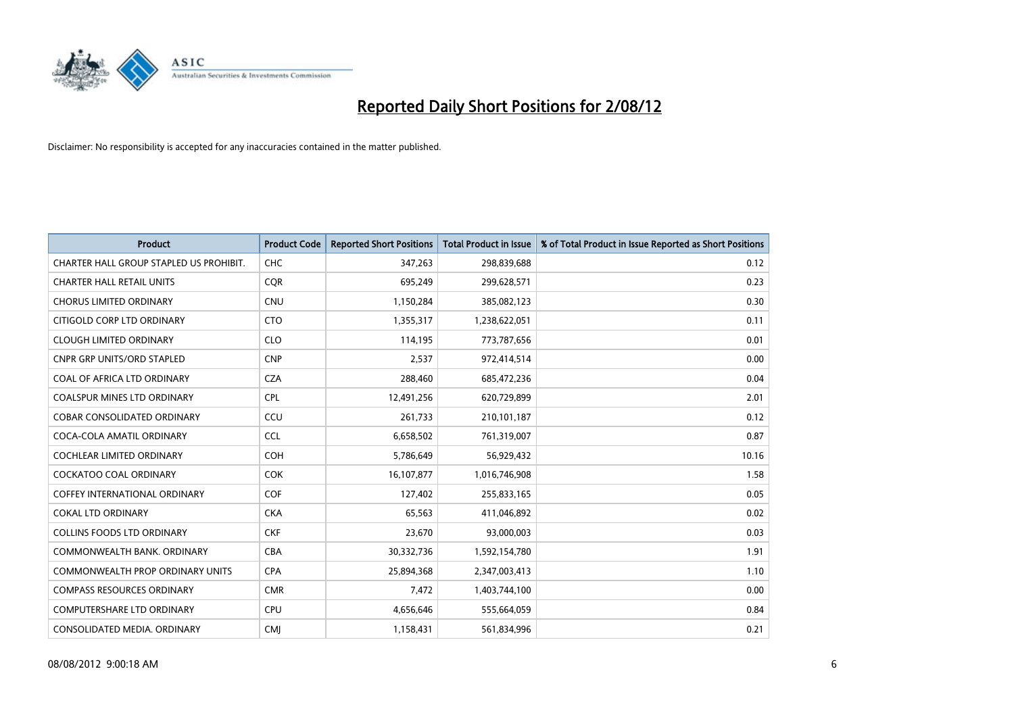

| <b>Product</b>                          | <b>Product Code</b> | <b>Reported Short Positions</b> | <b>Total Product in Issue</b> | % of Total Product in Issue Reported as Short Positions |
|-----------------------------------------|---------------------|---------------------------------|-------------------------------|---------------------------------------------------------|
| CHARTER HALL GROUP STAPLED US PROHIBIT. | <b>CHC</b>          | 347,263                         | 298,839,688                   | 0.12                                                    |
| <b>CHARTER HALL RETAIL UNITS</b>        | <b>CQR</b>          | 695,249                         | 299,628,571                   | 0.23                                                    |
| <b>CHORUS LIMITED ORDINARY</b>          | <b>CNU</b>          | 1,150,284                       | 385,082,123                   | 0.30                                                    |
| CITIGOLD CORP LTD ORDINARY              | <b>CTO</b>          | 1,355,317                       | 1,238,622,051                 | 0.11                                                    |
| <b>CLOUGH LIMITED ORDINARY</b>          | <b>CLO</b>          | 114,195                         | 773,787,656                   | 0.01                                                    |
| <b>CNPR GRP UNITS/ORD STAPLED</b>       | <b>CNP</b>          | 2,537                           | 972,414,514                   | 0.00                                                    |
| COAL OF AFRICA LTD ORDINARY             | <b>CZA</b>          | 288,460                         | 685,472,236                   | 0.04                                                    |
| <b>COALSPUR MINES LTD ORDINARY</b>      | <b>CPL</b>          | 12,491,256                      | 620,729,899                   | 2.01                                                    |
| <b>COBAR CONSOLIDATED ORDINARY</b>      | CCU                 | 261,733                         | 210,101,187                   | 0.12                                                    |
| COCA-COLA AMATIL ORDINARY               | <b>CCL</b>          | 6,658,502                       | 761,319,007                   | 0.87                                                    |
| <b>COCHLEAR LIMITED ORDINARY</b>        | <b>COH</b>          | 5,786,649                       | 56,929,432                    | 10.16                                                   |
| COCKATOO COAL ORDINARY                  | <b>COK</b>          | 16,107,877                      | 1,016,746,908                 | 1.58                                                    |
| <b>COFFEY INTERNATIONAL ORDINARY</b>    | <b>COF</b>          | 127,402                         | 255,833,165                   | 0.05                                                    |
| <b>COKAL LTD ORDINARY</b>               | <b>CKA</b>          | 65,563                          | 411,046,892                   | 0.02                                                    |
| <b>COLLINS FOODS LTD ORDINARY</b>       | <b>CKF</b>          | 23,670                          | 93,000,003                    | 0.03                                                    |
| COMMONWEALTH BANK, ORDINARY             | <b>CBA</b>          | 30,332,736                      | 1,592,154,780                 | 1.91                                                    |
| <b>COMMONWEALTH PROP ORDINARY UNITS</b> | <b>CPA</b>          | 25,894,368                      | 2,347,003,413                 | 1.10                                                    |
| <b>COMPASS RESOURCES ORDINARY</b>       | <b>CMR</b>          | 7,472                           | 1,403,744,100                 | 0.00                                                    |
| <b>COMPUTERSHARE LTD ORDINARY</b>       | <b>CPU</b>          | 4,656,646                       | 555,664,059                   | 0.84                                                    |
| CONSOLIDATED MEDIA. ORDINARY            | <b>CMI</b>          | 1,158,431                       | 561,834,996                   | 0.21                                                    |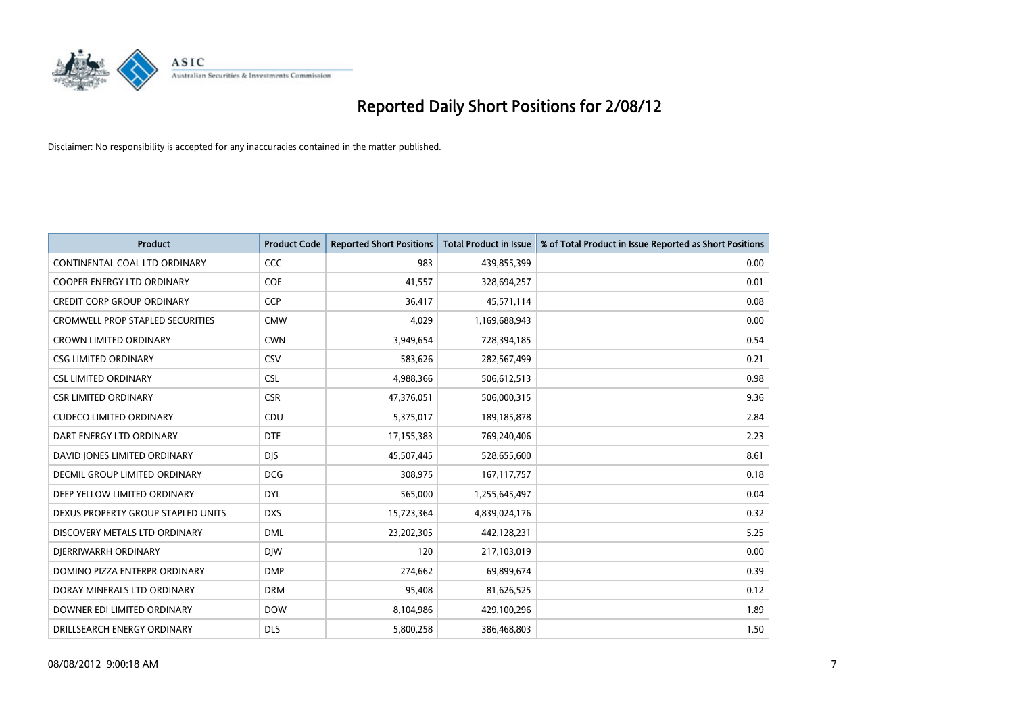

| <b>Product</b>                          | <b>Product Code</b> | <b>Reported Short Positions</b> | <b>Total Product in Issue</b> | % of Total Product in Issue Reported as Short Positions |
|-----------------------------------------|---------------------|---------------------------------|-------------------------------|---------------------------------------------------------|
| CONTINENTAL COAL LTD ORDINARY           | <b>CCC</b>          | 983                             | 439,855,399                   | 0.00                                                    |
| <b>COOPER ENERGY LTD ORDINARY</b>       | <b>COE</b>          | 41,557                          | 328,694,257                   | 0.01                                                    |
| <b>CREDIT CORP GROUP ORDINARY</b>       | <b>CCP</b>          | 36,417                          | 45,571,114                    | 0.08                                                    |
| <b>CROMWELL PROP STAPLED SECURITIES</b> | <b>CMW</b>          | 4,029                           | 1,169,688,943                 | 0.00                                                    |
| <b>CROWN LIMITED ORDINARY</b>           | <b>CWN</b>          | 3,949,654                       | 728,394,185                   | 0.54                                                    |
| <b>CSG LIMITED ORDINARY</b>             | CSV                 | 583,626                         | 282,567,499                   | 0.21                                                    |
| <b>CSL LIMITED ORDINARY</b>             | <b>CSL</b>          | 4,988,366                       | 506,612,513                   | 0.98                                                    |
| <b>CSR LIMITED ORDINARY</b>             | <b>CSR</b>          | 47,376,051                      | 506,000,315                   | 9.36                                                    |
| <b>CUDECO LIMITED ORDINARY</b>          | CDU                 | 5,375,017                       | 189, 185, 878                 | 2.84                                                    |
| DART ENERGY LTD ORDINARY                | <b>DTE</b>          | 17,155,383                      | 769,240,406                   | 2.23                                                    |
| DAVID JONES LIMITED ORDINARY            | <b>DJS</b>          | 45,507,445                      | 528,655,600                   | 8.61                                                    |
| <b>DECMIL GROUP LIMITED ORDINARY</b>    | <b>DCG</b>          | 308,975                         | 167, 117, 757                 | 0.18                                                    |
| DEEP YELLOW LIMITED ORDINARY            | <b>DYL</b>          | 565,000                         | 1,255,645,497                 | 0.04                                                    |
| DEXUS PROPERTY GROUP STAPLED UNITS      | <b>DXS</b>          | 15,723,364                      | 4,839,024,176                 | 0.32                                                    |
| DISCOVERY METALS LTD ORDINARY           | <b>DML</b>          | 23,202,305                      | 442,128,231                   | 5.25                                                    |
| DIERRIWARRH ORDINARY                    | <b>DIW</b>          | 120                             | 217,103,019                   | 0.00                                                    |
| DOMINO PIZZA ENTERPR ORDINARY           | <b>DMP</b>          | 274,662                         | 69,899,674                    | 0.39                                                    |
| DORAY MINERALS LTD ORDINARY             | <b>DRM</b>          | 95,408                          | 81,626,525                    | 0.12                                                    |
| DOWNER EDI LIMITED ORDINARY             | <b>DOW</b>          | 8,104,986                       | 429,100,296                   | 1.89                                                    |
| DRILLSEARCH ENERGY ORDINARY             | <b>DLS</b>          | 5,800,258                       | 386,468,803                   | 1.50                                                    |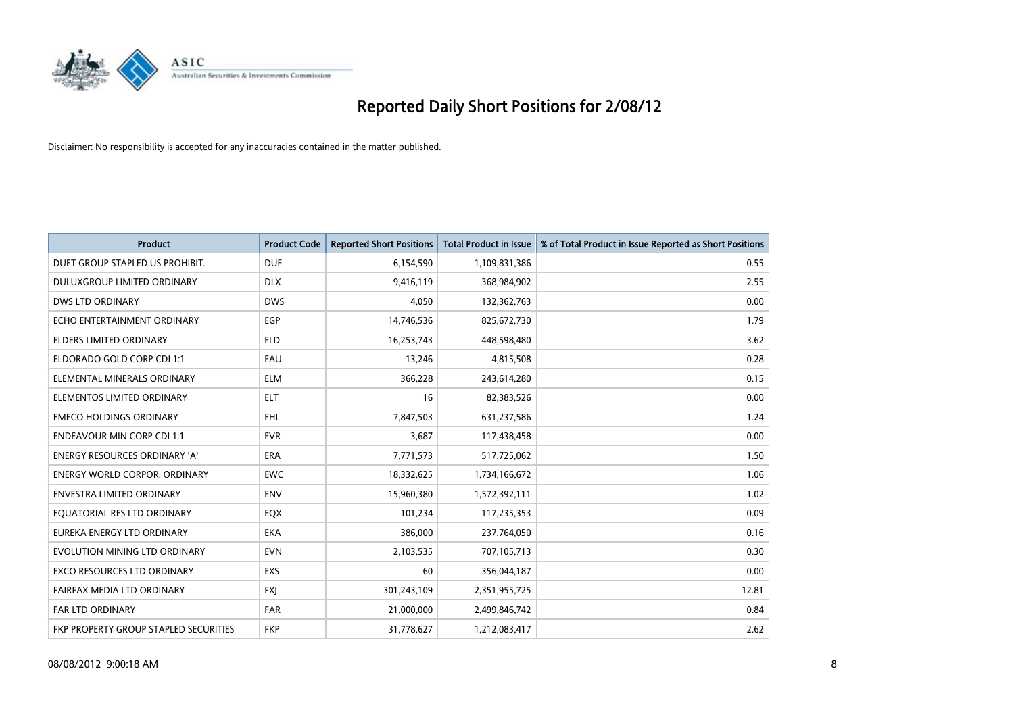

| <b>Product</b>                               | <b>Product Code</b> | <b>Reported Short Positions</b> | <b>Total Product in Issue</b> | % of Total Product in Issue Reported as Short Positions |
|----------------------------------------------|---------------------|---------------------------------|-------------------------------|---------------------------------------------------------|
| DUET GROUP STAPLED US PROHIBIT.              | <b>DUE</b>          | 6,154,590                       | 1,109,831,386                 | 0.55                                                    |
| DULUXGROUP LIMITED ORDINARY                  | <b>DLX</b>          | 9,416,119                       | 368,984,902                   | 2.55                                                    |
| <b>DWS LTD ORDINARY</b>                      | <b>DWS</b>          | 4,050                           | 132,362,763                   | 0.00                                                    |
| ECHO ENTERTAINMENT ORDINARY                  | <b>EGP</b>          | 14,746,536                      | 825,672,730                   | 1.79                                                    |
| <b>ELDERS LIMITED ORDINARY</b>               | <b>ELD</b>          | 16,253,743                      | 448,598,480                   | 3.62                                                    |
| ELDORADO GOLD CORP CDI 1:1                   | EAU                 | 13,246                          | 4,815,508                     | 0.28                                                    |
| ELEMENTAL MINERALS ORDINARY                  | <b>ELM</b>          | 366,228                         | 243,614,280                   | 0.15                                                    |
| ELEMENTOS LIMITED ORDINARY                   | <b>ELT</b>          | 16                              | 82,383,526                    | 0.00                                                    |
| <b>EMECO HOLDINGS ORDINARY</b>               | EHL                 | 7,847,503                       | 631,237,586                   | 1.24                                                    |
| <b>ENDEAVOUR MIN CORP CDI 1:1</b>            | <b>EVR</b>          | 3,687                           | 117,438,458                   | 0.00                                                    |
| ENERGY RESOURCES ORDINARY 'A'                | <b>ERA</b>          | 7,771,573                       | 517,725,062                   | 1.50                                                    |
| <b>ENERGY WORLD CORPOR, ORDINARY</b>         | <b>EWC</b>          | 18,332,625                      | 1,734,166,672                 | 1.06                                                    |
| <b>ENVESTRA LIMITED ORDINARY</b>             | <b>ENV</b>          | 15,960,380                      | 1,572,392,111                 | 1.02                                                    |
| EQUATORIAL RES LTD ORDINARY                  | EQX                 | 101,234                         | 117,235,353                   | 0.09                                                    |
| EUREKA ENERGY LTD ORDINARY                   | <b>EKA</b>          | 386,000                         | 237,764,050                   | 0.16                                                    |
| EVOLUTION MINING LTD ORDINARY                | <b>EVN</b>          | 2,103,535                       | 707,105,713                   | 0.30                                                    |
| <b>EXCO RESOURCES LTD ORDINARY</b>           | <b>EXS</b>          | 60                              | 356,044,187                   | 0.00                                                    |
| FAIRFAX MEDIA LTD ORDINARY                   | <b>FXJ</b>          | 301,243,109                     | 2,351,955,725                 | 12.81                                                   |
| <b>FAR LTD ORDINARY</b>                      | <b>FAR</b>          | 21,000,000                      | 2,499,846,742                 | 0.84                                                    |
| <b>FKP PROPERTY GROUP STAPLED SECURITIES</b> | <b>FKP</b>          | 31,778,627                      | 1,212,083,417                 | 2.62                                                    |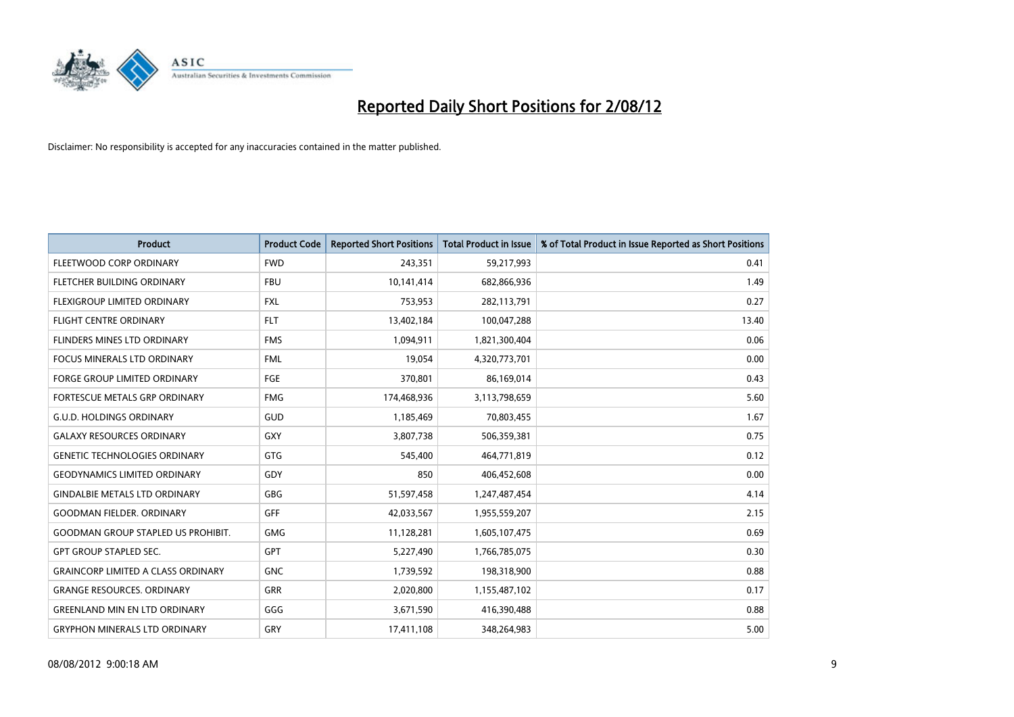

| <b>Product</b>                            | <b>Product Code</b> | <b>Reported Short Positions</b> | <b>Total Product in Issue</b> | % of Total Product in Issue Reported as Short Positions |
|-------------------------------------------|---------------------|---------------------------------|-------------------------------|---------------------------------------------------------|
| FLEETWOOD CORP ORDINARY                   | <b>FWD</b>          | 243,351                         | 59,217,993                    | 0.41                                                    |
| FLETCHER BUILDING ORDINARY                | <b>FBU</b>          | 10,141,414                      | 682,866,936                   | 1.49                                                    |
| <b>FLEXIGROUP LIMITED ORDINARY</b>        | <b>FXL</b>          | 753,953                         | 282,113,791                   | 0.27                                                    |
| <b>FLIGHT CENTRE ORDINARY</b>             | <b>FLT</b>          | 13,402,184                      | 100,047,288                   | 13.40                                                   |
| FLINDERS MINES LTD ORDINARY               | <b>FMS</b>          | 1,094,911                       | 1,821,300,404                 | 0.06                                                    |
| <b>FOCUS MINERALS LTD ORDINARY</b>        | <b>FML</b>          | 19,054                          | 4,320,773,701                 | 0.00                                                    |
| <b>FORGE GROUP LIMITED ORDINARY</b>       | FGE                 | 370,801                         | 86,169,014                    | 0.43                                                    |
| <b>FORTESCUE METALS GRP ORDINARY</b>      | <b>FMG</b>          | 174,468,936                     | 3,113,798,659                 | 5.60                                                    |
| <b>G.U.D. HOLDINGS ORDINARY</b>           | <b>GUD</b>          | 1,185,469                       | 70,803,455                    | 1.67                                                    |
| <b>GALAXY RESOURCES ORDINARY</b>          | GXY                 | 3,807,738                       | 506,359,381                   | 0.75                                                    |
| <b>GENETIC TECHNOLOGIES ORDINARY</b>      | GTG                 | 545,400                         | 464,771,819                   | 0.12                                                    |
| <b>GEODYNAMICS LIMITED ORDINARY</b>       | GDY                 | 850                             | 406,452,608                   | 0.00                                                    |
| <b>GINDALBIE METALS LTD ORDINARY</b>      | <b>GBG</b>          | 51,597,458                      | 1,247,487,454                 | 4.14                                                    |
| <b>GOODMAN FIELDER, ORDINARY</b>          | <b>GFF</b>          | 42,033,567                      | 1,955,559,207                 | 2.15                                                    |
| <b>GOODMAN GROUP STAPLED US PROHIBIT.</b> | <b>GMG</b>          | 11,128,281                      | 1,605,107,475                 | 0.69                                                    |
| <b>GPT GROUP STAPLED SEC.</b>             | <b>GPT</b>          | 5,227,490                       | 1,766,785,075                 | 0.30                                                    |
| <b>GRAINCORP LIMITED A CLASS ORDINARY</b> | <b>GNC</b>          | 1,739,592                       | 198,318,900                   | 0.88                                                    |
| <b>GRANGE RESOURCES. ORDINARY</b>         | <b>GRR</b>          | 2,020,800                       | 1,155,487,102                 | 0.17                                                    |
| <b>GREENLAND MIN EN LTD ORDINARY</b>      | GGG                 | 3,671,590                       | 416,390,488                   | 0.88                                                    |
| <b>GRYPHON MINERALS LTD ORDINARY</b>      | GRY                 | 17,411,108                      | 348.264.983                   | 5.00                                                    |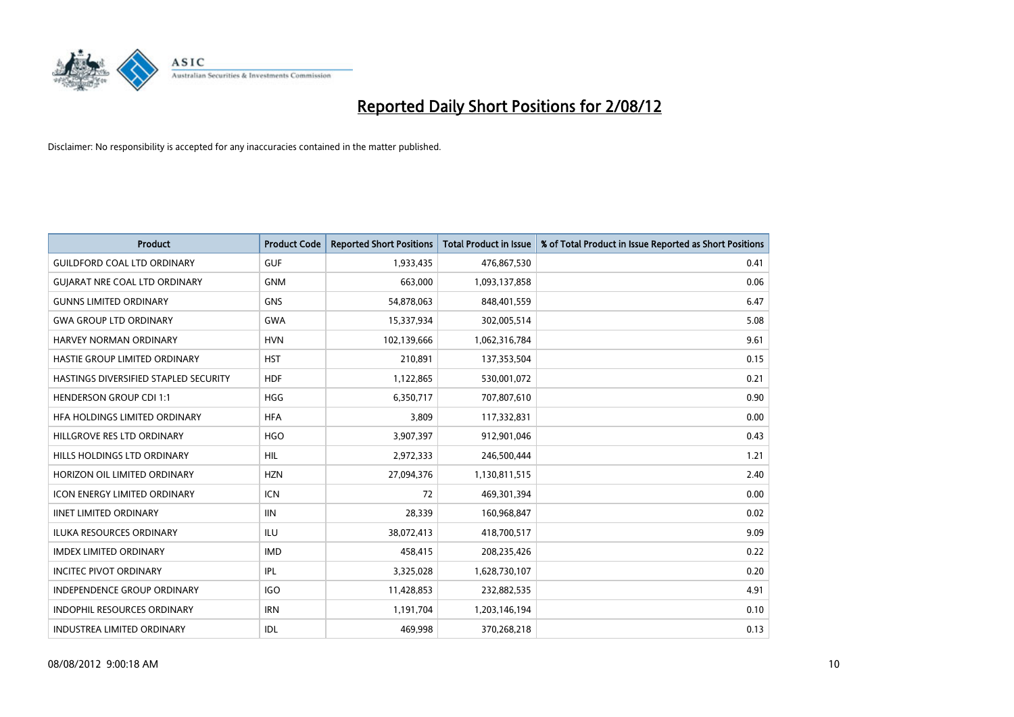

| <b>Product</b>                               | <b>Product Code</b> | <b>Reported Short Positions</b> | <b>Total Product in Issue</b> | % of Total Product in Issue Reported as Short Positions |
|----------------------------------------------|---------------------|---------------------------------|-------------------------------|---------------------------------------------------------|
| <b>GUILDFORD COAL LTD ORDINARY</b>           | <b>GUF</b>          | 1,933,435                       | 476,867,530                   | 0.41                                                    |
| <b>GUIARAT NRE COAL LTD ORDINARY</b>         | <b>GNM</b>          | 663,000                         | 1,093,137,858                 | 0.06                                                    |
| <b>GUNNS LIMITED ORDINARY</b>                | <b>GNS</b>          | 54,878,063                      | 848,401,559                   | 6.47                                                    |
| <b>GWA GROUP LTD ORDINARY</b>                | <b>GWA</b>          | 15,337,934                      | 302,005,514                   | 5.08                                                    |
| HARVEY NORMAN ORDINARY                       | <b>HVN</b>          | 102,139,666                     | 1,062,316,784                 | 9.61                                                    |
| HASTIE GROUP LIMITED ORDINARY                | <b>HST</b>          | 210,891                         | 137,353,504                   | 0.15                                                    |
| <b>HASTINGS DIVERSIFIED STAPLED SECURITY</b> | <b>HDF</b>          | 1,122,865                       | 530,001,072                   | 0.21                                                    |
| <b>HENDERSON GROUP CDI 1:1</b>               | <b>HGG</b>          | 6,350,717                       | 707,807,610                   | 0.90                                                    |
| HFA HOLDINGS LIMITED ORDINARY                | <b>HFA</b>          | 3,809                           | 117,332,831                   | 0.00                                                    |
| HILLGROVE RES LTD ORDINARY                   | <b>HGO</b>          | 3,907,397                       | 912,901,046                   | 0.43                                                    |
| HILLS HOLDINGS LTD ORDINARY                  | <b>HIL</b>          | 2,972,333                       | 246,500,444                   | 1.21                                                    |
| HORIZON OIL LIMITED ORDINARY                 | <b>HZN</b>          | 27,094,376                      | 1,130,811,515                 | 2.40                                                    |
| ICON ENERGY LIMITED ORDINARY                 | <b>ICN</b>          | 72                              | 469,301,394                   | 0.00                                                    |
| <b>IINET LIMITED ORDINARY</b>                | <b>IIN</b>          | 28,339                          | 160,968,847                   | 0.02                                                    |
| <b>ILUKA RESOURCES ORDINARY</b>              | ILU                 | 38,072,413                      | 418,700,517                   | 9.09                                                    |
| <b>IMDEX LIMITED ORDINARY</b>                | <b>IMD</b>          | 458,415                         | 208,235,426                   | 0.22                                                    |
| <b>INCITEC PIVOT ORDINARY</b>                | <b>IPL</b>          | 3,325,028                       | 1,628,730,107                 | 0.20                                                    |
| INDEPENDENCE GROUP ORDINARY                  | <b>IGO</b>          | 11,428,853                      | 232,882,535                   | 4.91                                                    |
| <b>INDOPHIL RESOURCES ORDINARY</b>           | <b>IRN</b>          | 1,191,704                       | 1,203,146,194                 | 0.10                                                    |
| INDUSTREA LIMITED ORDINARY                   | <b>IDL</b>          | 469,998                         | 370,268,218                   | 0.13                                                    |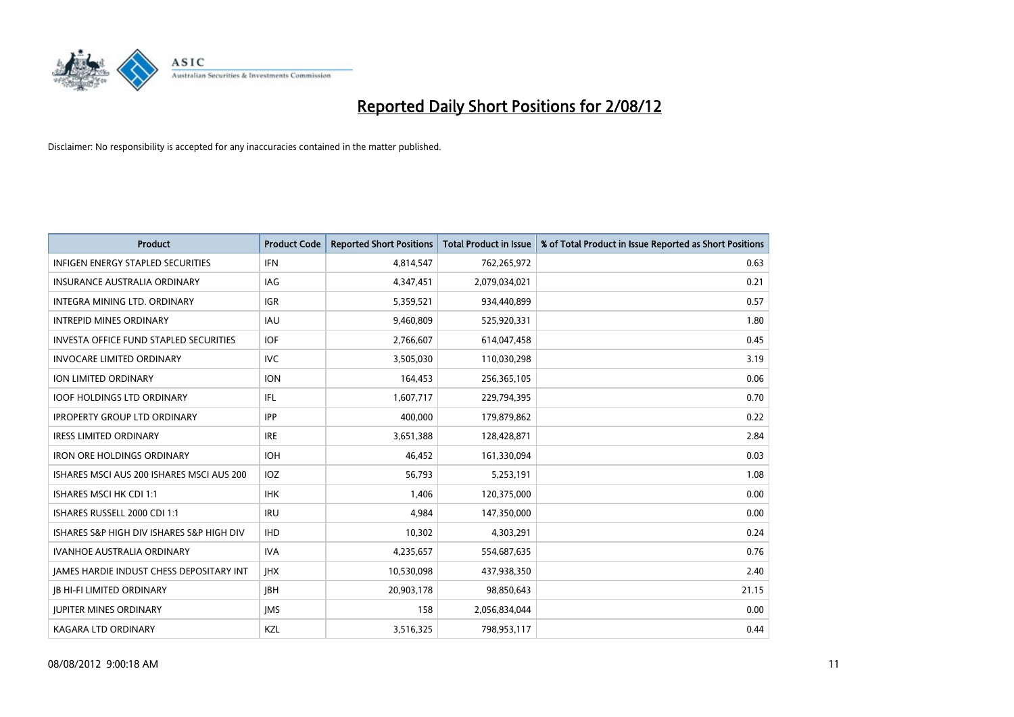

| <b>Product</b>                                  | <b>Product Code</b> | <b>Reported Short Positions</b> | <b>Total Product in Issue</b> | % of Total Product in Issue Reported as Short Positions |
|-------------------------------------------------|---------------------|---------------------------------|-------------------------------|---------------------------------------------------------|
| <b>INFIGEN ENERGY STAPLED SECURITIES</b>        | <b>IFN</b>          | 4,814,547                       | 762,265,972                   | 0.63                                                    |
| INSURANCE AUSTRALIA ORDINARY                    | IAG                 | 4,347,451                       | 2,079,034,021                 | 0.21                                                    |
| INTEGRA MINING LTD. ORDINARY                    | <b>IGR</b>          | 5,359,521                       | 934,440,899                   | 0.57                                                    |
| <b>INTREPID MINES ORDINARY</b>                  | <b>IAU</b>          | 9,460,809                       | 525,920,331                   | 1.80                                                    |
| <b>INVESTA OFFICE FUND STAPLED SECURITIES</b>   | <b>IOF</b>          | 2,766,607                       | 614,047,458                   | 0.45                                                    |
| <b>INVOCARE LIMITED ORDINARY</b>                | <b>IVC</b>          | 3,505,030                       | 110,030,298                   | 3.19                                                    |
| ION LIMITED ORDINARY                            | <b>ION</b>          | 164,453                         | 256,365,105                   | 0.06                                                    |
| <b>IOOF HOLDINGS LTD ORDINARY</b>               | <b>IFL</b>          | 1,607,717                       | 229,794,395                   | 0.70                                                    |
| <b>IPROPERTY GROUP LTD ORDINARY</b>             | <b>IPP</b>          | 400,000                         | 179,879,862                   | 0.22                                                    |
| <b>IRESS LIMITED ORDINARY</b>                   | <b>IRE</b>          | 3,651,388                       | 128,428,871                   | 2.84                                                    |
| <b>IRON ORE HOLDINGS ORDINARY</b>               | <b>IOH</b>          | 46,452                          | 161,330,094                   | 0.03                                                    |
| ISHARES MSCI AUS 200 ISHARES MSCI AUS 200       | <b>IOZ</b>          | 56,793                          | 5,253,191                     | 1.08                                                    |
| ISHARES MSCI HK CDI 1:1                         | <b>IHK</b>          | 1,406                           | 120,375,000                   | 0.00                                                    |
| ISHARES RUSSELL 2000 CDI 1:1                    | <b>IRU</b>          | 4,984                           | 147,350,000                   | 0.00                                                    |
| ISHARES S&P HIGH DIV ISHARES S&P HIGH DIV       | <b>IHD</b>          | 10,302                          | 4,303,291                     | 0.24                                                    |
| IVANHOE AUSTRALIA ORDINARY                      | <b>IVA</b>          | 4,235,657                       | 554,687,635                   | 0.76                                                    |
| <b>JAMES HARDIE INDUST CHESS DEPOSITARY INT</b> | <b>IHX</b>          | 10,530,098                      | 437,938,350                   | 2.40                                                    |
| <b>JB HI-FI LIMITED ORDINARY</b>                | <b>IBH</b>          | 20,903,178                      | 98,850,643                    | 21.15                                                   |
| <b>IUPITER MINES ORDINARY</b>                   | <b>IMS</b>          | 158                             | 2,056,834,044                 | 0.00                                                    |
| <b>KAGARA LTD ORDINARY</b>                      | KZL                 | 3,516,325                       | 798,953,117                   | 0.44                                                    |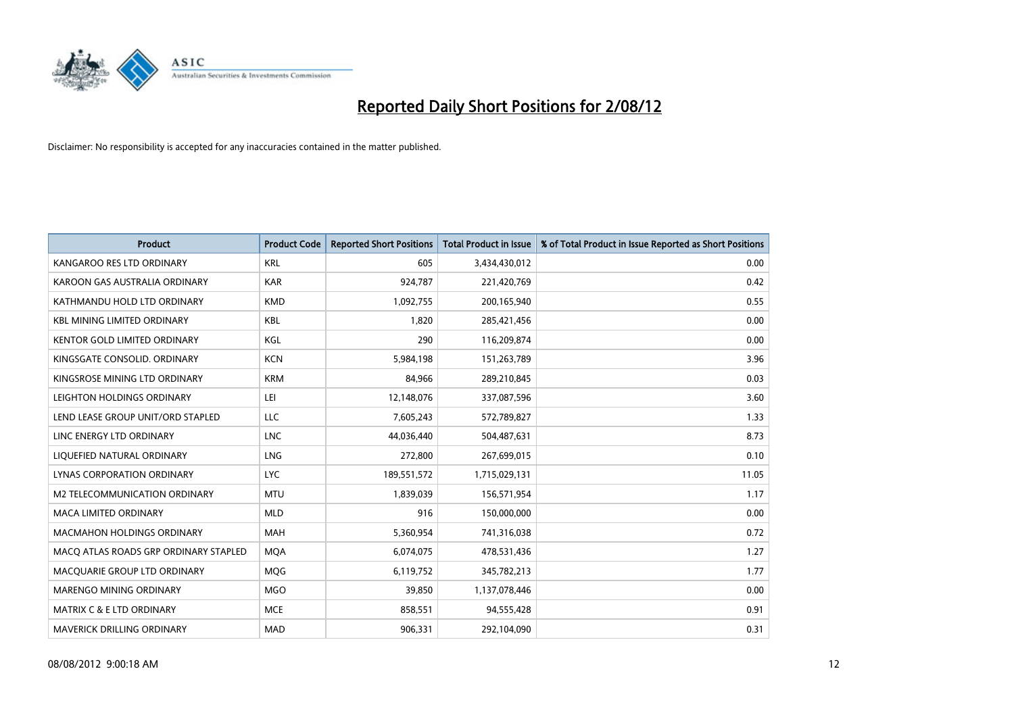

| <b>Product</b>                        | <b>Product Code</b> | <b>Reported Short Positions</b> | <b>Total Product in Issue</b> | % of Total Product in Issue Reported as Short Positions |
|---------------------------------------|---------------------|---------------------------------|-------------------------------|---------------------------------------------------------|
| KANGAROO RES LTD ORDINARY             | <b>KRL</b>          | 605                             | 3,434,430,012                 | 0.00                                                    |
| KAROON GAS AUSTRALIA ORDINARY         | <b>KAR</b>          | 924,787                         | 221,420,769                   | 0.42                                                    |
| KATHMANDU HOLD LTD ORDINARY           | <b>KMD</b>          | 1,092,755                       | 200,165,940                   | 0.55                                                    |
| <b>KBL MINING LIMITED ORDINARY</b>    | <b>KBL</b>          | 1,820                           | 285,421,456                   | 0.00                                                    |
| <b>KENTOR GOLD LIMITED ORDINARY</b>   | KGL                 | 290                             | 116,209,874                   | 0.00                                                    |
| KINGSGATE CONSOLID. ORDINARY          | <b>KCN</b>          | 5,984,198                       | 151,263,789                   | 3.96                                                    |
| KINGSROSE MINING LTD ORDINARY         | <b>KRM</b>          | 84,966                          | 289,210,845                   | 0.03                                                    |
| LEIGHTON HOLDINGS ORDINARY            | LEI                 | 12,148,076                      | 337,087,596                   | 3.60                                                    |
| LEND LEASE GROUP UNIT/ORD STAPLED     | LLC                 | 7,605,243                       | 572,789,827                   | 1.33                                                    |
| LINC ENERGY LTD ORDINARY              | <b>LNC</b>          | 44,036,440                      | 504,487,631                   | 8.73                                                    |
| LIQUEFIED NATURAL ORDINARY            | <b>LNG</b>          | 272,800                         | 267,699,015                   | 0.10                                                    |
| <b>LYNAS CORPORATION ORDINARY</b>     | <b>LYC</b>          | 189,551,572                     | 1,715,029,131                 | 11.05                                                   |
| M2 TELECOMMUNICATION ORDINARY         | <b>MTU</b>          | 1,839,039                       | 156,571,954                   | 1.17                                                    |
| <b>MACA LIMITED ORDINARY</b>          | <b>MLD</b>          | 916                             | 150,000,000                   | 0.00                                                    |
| <b>MACMAHON HOLDINGS ORDINARY</b>     | <b>MAH</b>          | 5,360,954                       | 741,316,038                   | 0.72                                                    |
| MACQ ATLAS ROADS GRP ORDINARY STAPLED | <b>MOA</b>          | 6,074,075                       | 478,531,436                   | 1.27                                                    |
| MACQUARIE GROUP LTD ORDINARY          | <b>MOG</b>          | 6,119,752                       | 345,782,213                   | 1.77                                                    |
| <b>MARENGO MINING ORDINARY</b>        | <b>MGO</b>          | 39,850                          | 1,137,078,446                 | 0.00                                                    |
| MATRIX C & E LTD ORDINARY             | <b>MCE</b>          | 858,551                         | 94,555,428                    | 0.91                                                    |
| MAVERICK DRILLING ORDINARY            | <b>MAD</b>          | 906,331                         | 292,104,090                   | 0.31                                                    |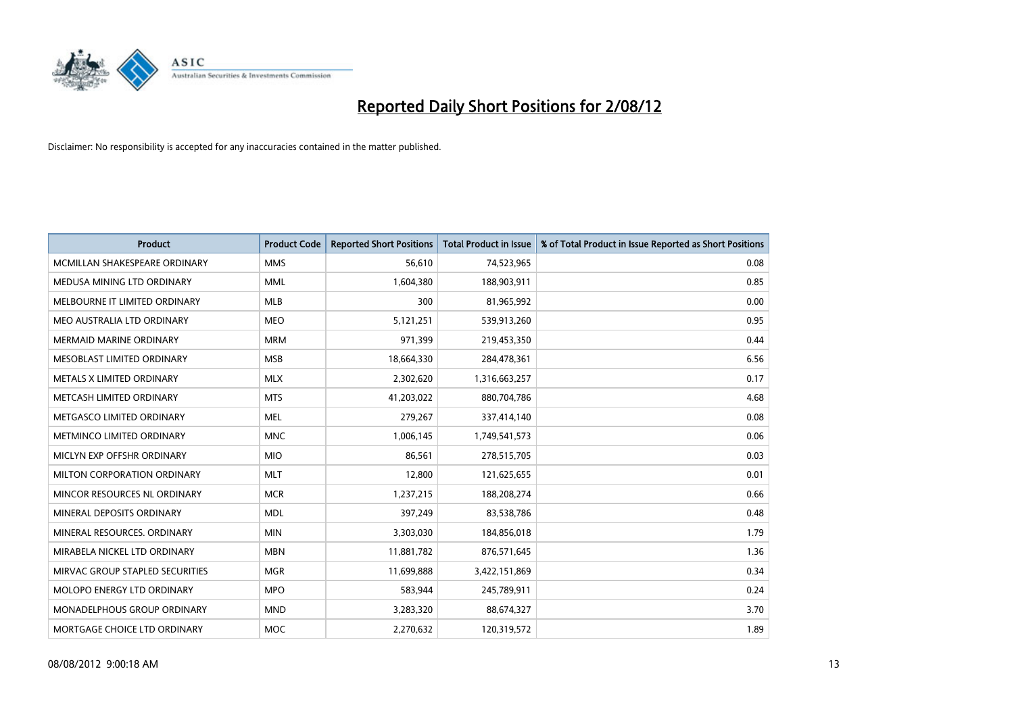

| <b>Product</b>                     | <b>Product Code</b> | <b>Reported Short Positions</b> | <b>Total Product in Issue</b> | % of Total Product in Issue Reported as Short Positions |
|------------------------------------|---------------------|---------------------------------|-------------------------------|---------------------------------------------------------|
| MCMILLAN SHAKESPEARE ORDINARY      | <b>MMS</b>          | 56.610                          | 74,523,965                    | 0.08                                                    |
| MEDUSA MINING LTD ORDINARY         | <b>MML</b>          | 1,604,380                       | 188,903,911                   | 0.85                                                    |
| MELBOURNE IT LIMITED ORDINARY      | <b>MLB</b>          | 300                             | 81,965,992                    | 0.00                                                    |
| MEO AUSTRALIA LTD ORDINARY         | <b>MEO</b>          | 5,121,251                       | 539,913,260                   | 0.95                                                    |
| <b>MERMAID MARINE ORDINARY</b>     | <b>MRM</b>          | 971,399                         | 219,453,350                   | 0.44                                                    |
| MESOBLAST LIMITED ORDINARY         | <b>MSB</b>          | 18,664,330                      | 284,478,361                   | 6.56                                                    |
| METALS X LIMITED ORDINARY          | <b>MLX</b>          | 2,302,620                       | 1,316,663,257                 | 0.17                                                    |
| METCASH LIMITED ORDINARY           | <b>MTS</b>          | 41,203,022                      | 880,704,786                   | 4.68                                                    |
| METGASCO LIMITED ORDINARY          | <b>MEL</b>          | 279,267                         | 337,414,140                   | 0.08                                                    |
| METMINCO LIMITED ORDINARY          | <b>MNC</b>          | 1,006,145                       | 1,749,541,573                 | 0.06                                                    |
| MICLYN EXP OFFSHR ORDINARY         | <b>MIO</b>          | 86,561                          | 278,515,705                   | 0.03                                                    |
| <b>MILTON CORPORATION ORDINARY</b> | <b>MLT</b>          | 12,800                          | 121,625,655                   | 0.01                                                    |
| MINCOR RESOURCES NL ORDINARY       | <b>MCR</b>          | 1,237,215                       | 188,208,274                   | 0.66                                                    |
| MINERAL DEPOSITS ORDINARY          | <b>MDL</b>          | 397,249                         | 83,538,786                    | 0.48                                                    |
| MINERAL RESOURCES, ORDINARY        | <b>MIN</b>          | 3,303,030                       | 184,856,018                   | 1.79                                                    |
| MIRABELA NICKEL LTD ORDINARY       | <b>MBN</b>          | 11,881,782                      | 876,571,645                   | 1.36                                                    |
| MIRVAC GROUP STAPLED SECURITIES    | <b>MGR</b>          | 11,699,888                      | 3,422,151,869                 | 0.34                                                    |
| MOLOPO ENERGY LTD ORDINARY         | <b>MPO</b>          | 583,944                         | 245,789,911                   | 0.24                                                    |
| <b>MONADELPHOUS GROUP ORDINARY</b> | <b>MND</b>          | 3,283,320                       | 88,674,327                    | 3.70                                                    |
| MORTGAGE CHOICE LTD ORDINARY       | <b>MOC</b>          | 2,270,632                       | 120,319,572                   | 1.89                                                    |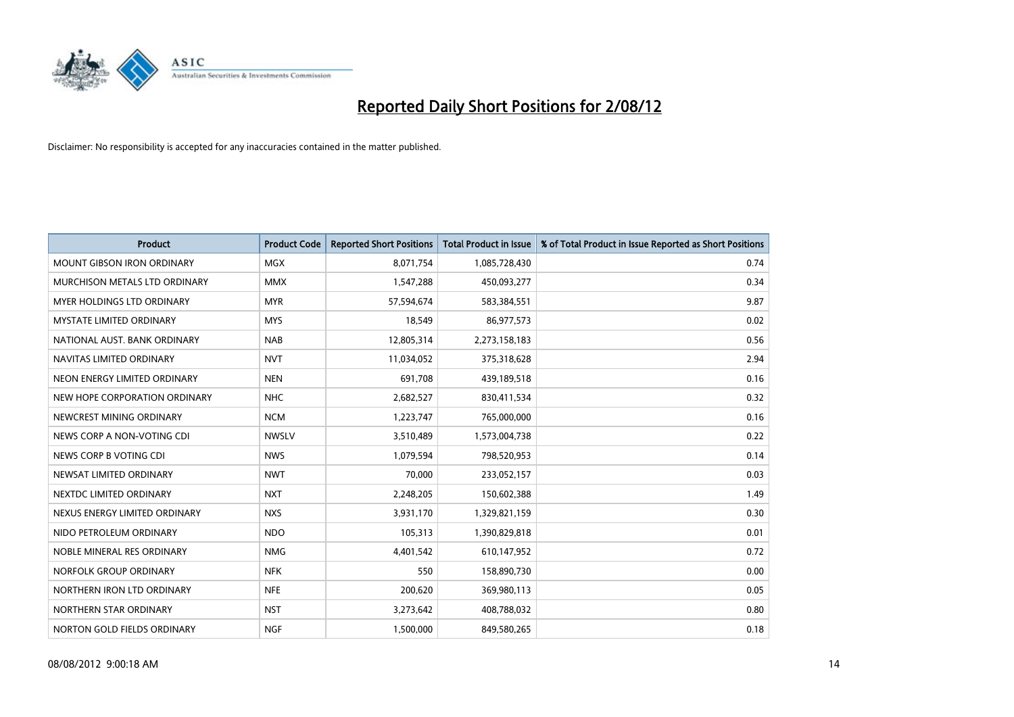

| <b>Product</b>                    | <b>Product Code</b> | <b>Reported Short Positions</b> | <b>Total Product in Issue</b> | % of Total Product in Issue Reported as Short Positions |
|-----------------------------------|---------------------|---------------------------------|-------------------------------|---------------------------------------------------------|
| <b>MOUNT GIBSON IRON ORDINARY</b> | <b>MGX</b>          | 8,071,754                       | 1,085,728,430                 | 0.74                                                    |
| MURCHISON METALS LTD ORDINARY     | <b>MMX</b>          | 1,547,288                       | 450,093,277                   | 0.34                                                    |
| <b>MYER HOLDINGS LTD ORDINARY</b> | <b>MYR</b>          | 57,594,674                      | 583,384,551                   | 9.87                                                    |
| MYSTATE LIMITED ORDINARY          | <b>MYS</b>          | 18,549                          | 86,977,573                    | 0.02                                                    |
| NATIONAL AUST, BANK ORDINARY      | <b>NAB</b>          | 12,805,314                      | 2,273,158,183                 | 0.56                                                    |
| NAVITAS LIMITED ORDINARY          | <b>NVT</b>          | 11,034,052                      | 375,318,628                   | 2.94                                                    |
| NEON ENERGY LIMITED ORDINARY      | <b>NEN</b>          | 691.708                         | 439,189,518                   | 0.16                                                    |
| NEW HOPE CORPORATION ORDINARY     | <b>NHC</b>          | 2,682,527                       | 830,411,534                   | 0.32                                                    |
| NEWCREST MINING ORDINARY          | <b>NCM</b>          | 1,223,747                       | 765,000,000                   | 0.16                                                    |
| NEWS CORP A NON-VOTING CDI        | <b>NWSLV</b>        | 3,510,489                       | 1,573,004,738                 | 0.22                                                    |
| NEWS CORP B VOTING CDI            | <b>NWS</b>          | 1,079,594                       | 798,520,953                   | 0.14                                                    |
| NEWSAT LIMITED ORDINARY           | <b>NWT</b>          | 70,000                          | 233,052,157                   | 0.03                                                    |
| NEXTDC LIMITED ORDINARY           | <b>NXT</b>          | 2,248,205                       | 150,602,388                   | 1.49                                                    |
| NEXUS ENERGY LIMITED ORDINARY     | <b>NXS</b>          | 3,931,170                       | 1,329,821,159                 | 0.30                                                    |
| NIDO PETROLEUM ORDINARY           | <b>NDO</b>          | 105,313                         | 1,390,829,818                 | 0.01                                                    |
| NOBLE MINERAL RES ORDINARY        | <b>NMG</b>          | 4,401,542                       | 610,147,952                   | 0.72                                                    |
| NORFOLK GROUP ORDINARY            | <b>NFK</b>          | 550                             | 158,890,730                   | 0.00                                                    |
| NORTHERN IRON LTD ORDINARY        | <b>NFE</b>          | 200,620                         | 369,980,113                   | 0.05                                                    |
| NORTHERN STAR ORDINARY            | <b>NST</b>          | 3,273,642                       | 408,788,032                   | 0.80                                                    |
| NORTON GOLD FIELDS ORDINARY       | <b>NGF</b>          | 1,500,000                       | 849,580,265                   | 0.18                                                    |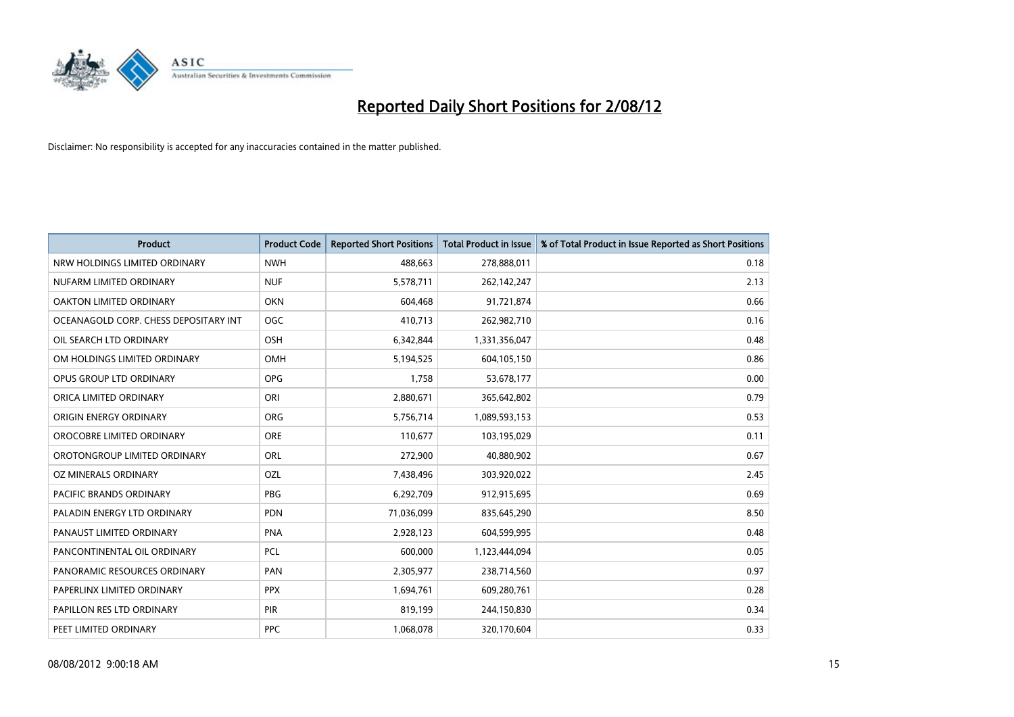

| <b>Product</b>                        | <b>Product Code</b> | <b>Reported Short Positions</b> | <b>Total Product in Issue</b> | % of Total Product in Issue Reported as Short Positions |
|---------------------------------------|---------------------|---------------------------------|-------------------------------|---------------------------------------------------------|
| NRW HOLDINGS LIMITED ORDINARY         | <b>NWH</b>          | 488,663                         | 278,888,011                   | 0.18                                                    |
| NUFARM LIMITED ORDINARY               | <b>NUF</b>          | 5,578,711                       | 262,142,247                   | 2.13                                                    |
| OAKTON LIMITED ORDINARY               | <b>OKN</b>          | 604,468                         | 91,721,874                    | 0.66                                                    |
| OCEANAGOLD CORP. CHESS DEPOSITARY INT | <b>OGC</b>          | 410,713                         | 262,982,710                   | 0.16                                                    |
| OIL SEARCH LTD ORDINARY               | OSH                 | 6,342,844                       | 1,331,356,047                 | 0.48                                                    |
| OM HOLDINGS LIMITED ORDINARY          | OMH                 | 5,194,525                       | 604,105,150                   | 0.86                                                    |
| OPUS GROUP LTD ORDINARY               | <b>OPG</b>          | 1,758                           | 53,678,177                    | 0.00                                                    |
| ORICA LIMITED ORDINARY                | ORI                 | 2,880,671                       | 365,642,802                   | 0.79                                                    |
| ORIGIN ENERGY ORDINARY                | <b>ORG</b>          | 5,756,714                       | 1,089,593,153                 | 0.53                                                    |
| OROCOBRE LIMITED ORDINARY             | <b>ORE</b>          | 110,677                         | 103,195,029                   | 0.11                                                    |
| OROTONGROUP LIMITED ORDINARY          | ORL                 | 272,900                         | 40,880,902                    | 0.67                                                    |
| OZ MINERALS ORDINARY                  | OZL                 | 7,438,496                       | 303,920,022                   | 2.45                                                    |
| PACIFIC BRANDS ORDINARY               | <b>PBG</b>          | 6,292,709                       | 912,915,695                   | 0.69                                                    |
| PALADIN ENERGY LTD ORDINARY           | <b>PDN</b>          | 71,036,099                      | 835,645,290                   | 8.50                                                    |
| PANAUST LIMITED ORDINARY              | <b>PNA</b>          | 2,928,123                       | 604,599,995                   | 0.48                                                    |
| PANCONTINENTAL OIL ORDINARY           | PCL                 | 600,000                         | 1,123,444,094                 | 0.05                                                    |
| PANORAMIC RESOURCES ORDINARY          | PAN                 | 2,305,977                       | 238,714,560                   | 0.97                                                    |
| PAPERLINX LIMITED ORDINARY            | <b>PPX</b>          | 1,694,761                       | 609,280,761                   | 0.28                                                    |
| PAPILLON RES LTD ORDINARY             | <b>PIR</b>          | 819,199                         | 244,150,830                   | 0.34                                                    |
| PEET LIMITED ORDINARY                 | <b>PPC</b>          | 1,068,078                       | 320,170,604                   | 0.33                                                    |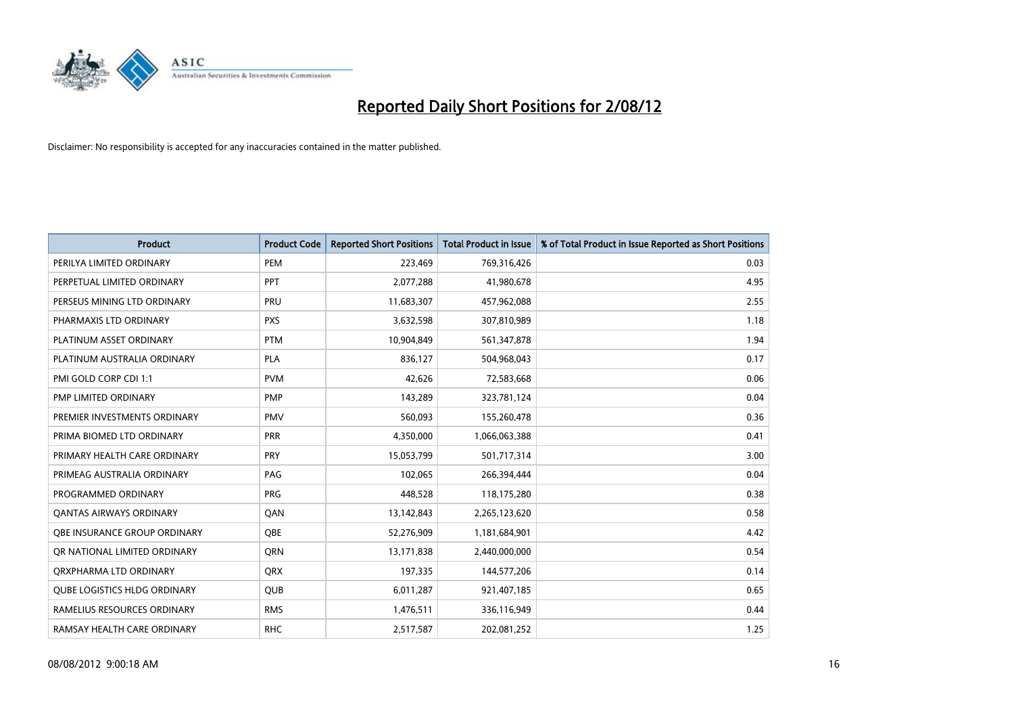

| <b>Product</b>                 | <b>Product Code</b> | <b>Reported Short Positions</b> | <b>Total Product in Issue</b> | % of Total Product in Issue Reported as Short Positions |
|--------------------------------|---------------------|---------------------------------|-------------------------------|---------------------------------------------------------|
| PERILYA LIMITED ORDINARY       | PEM                 | 223,469                         | 769,316,426                   | 0.03                                                    |
| PERPETUAL LIMITED ORDINARY     | PPT                 | 2,077,288                       | 41,980,678                    | 4.95                                                    |
| PERSEUS MINING LTD ORDINARY    | PRU                 | 11,683,307                      | 457,962,088                   | 2.55                                                    |
| PHARMAXIS LTD ORDINARY         | <b>PXS</b>          | 3,632,598                       | 307,810,989                   | 1.18                                                    |
| PLATINUM ASSET ORDINARY        | <b>PTM</b>          | 10,904,849                      | 561,347,878                   | 1.94                                                    |
| PLATINUM AUSTRALIA ORDINARY    | PLA                 | 836,127                         | 504,968,043                   | 0.17                                                    |
| PMI GOLD CORP CDI 1:1          | <b>PVM</b>          | 42,626                          | 72,583,668                    | 0.06                                                    |
| PMP LIMITED ORDINARY           | <b>PMP</b>          | 143,289                         | 323,781,124                   | 0.04                                                    |
| PREMIER INVESTMENTS ORDINARY   | <b>PMV</b>          | 560,093                         | 155,260,478                   | 0.36                                                    |
| PRIMA BIOMED LTD ORDINARY      | <b>PRR</b>          | 4,350,000                       | 1,066,063,388                 | 0.41                                                    |
| PRIMARY HEALTH CARE ORDINARY   | <b>PRY</b>          | 15,053,799                      | 501,717,314                   | 3.00                                                    |
| PRIMEAG AUSTRALIA ORDINARY     | PAG                 | 102,065                         | 266,394,444                   | 0.04                                                    |
| PROGRAMMED ORDINARY            | PRG                 | 448,528                         | 118,175,280                   | 0.38                                                    |
| <b>QANTAS AIRWAYS ORDINARY</b> | QAN                 | 13,142,843                      | 2,265,123,620                 | 0.58                                                    |
| OBE INSURANCE GROUP ORDINARY   | <b>OBE</b>          | 52,276,909                      | 1,181,684,901                 | 4.42                                                    |
| OR NATIONAL LIMITED ORDINARY   | <b>ORN</b>          | 13,171,838                      | 2,440,000,000                 | 0.54                                                    |
| ORXPHARMA LTD ORDINARY         | <b>QRX</b>          | 197,335                         | 144,577,206                   | 0.14                                                    |
| QUBE LOGISTICS HLDG ORDINARY   | QUB                 | 6,011,287                       | 921,407,185                   | 0.65                                                    |
| RAMELIUS RESOURCES ORDINARY    | <b>RMS</b>          | 1,476,511                       | 336,116,949                   | 0.44                                                    |
| RAMSAY HEALTH CARE ORDINARY    | <b>RHC</b>          | 2,517,587                       | 202,081,252                   | 1.25                                                    |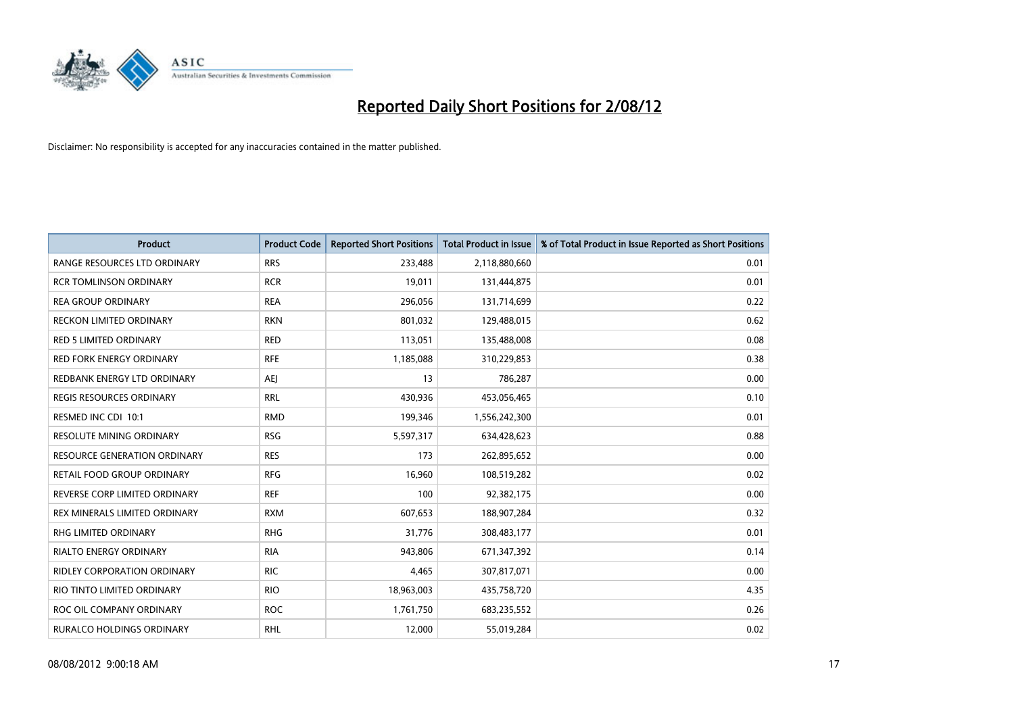

| <b>Product</b>                      | <b>Product Code</b> | <b>Reported Short Positions</b> | <b>Total Product in Issue</b> | % of Total Product in Issue Reported as Short Positions |
|-------------------------------------|---------------------|---------------------------------|-------------------------------|---------------------------------------------------------|
| RANGE RESOURCES LTD ORDINARY        | <b>RRS</b>          | 233,488                         | 2,118,880,660                 | 0.01                                                    |
| <b>RCR TOMLINSON ORDINARY</b>       | <b>RCR</b>          | 19,011                          | 131,444,875                   | 0.01                                                    |
| <b>REA GROUP ORDINARY</b>           | <b>REA</b>          | 296,056                         | 131,714,699                   | 0.22                                                    |
| RECKON LIMITED ORDINARY             | <b>RKN</b>          | 801,032                         | 129,488,015                   | 0.62                                                    |
| <b>RED 5 LIMITED ORDINARY</b>       | <b>RED</b>          | 113,051                         | 135,488,008                   | 0.08                                                    |
| <b>RED FORK ENERGY ORDINARY</b>     | <b>RFE</b>          | 1,185,088                       | 310,229,853                   | 0.38                                                    |
| REDBANK ENERGY LTD ORDINARY         | AEI                 | 13                              | 786,287                       | 0.00                                                    |
| <b>REGIS RESOURCES ORDINARY</b>     | <b>RRL</b>          | 430,936                         | 453,056,465                   | 0.10                                                    |
| RESMED INC CDI 10:1                 | <b>RMD</b>          | 199,346                         | 1,556,242,300                 | 0.01                                                    |
| <b>RESOLUTE MINING ORDINARY</b>     | <b>RSG</b>          | 5,597,317                       | 634,428,623                   | 0.88                                                    |
| <b>RESOURCE GENERATION ORDINARY</b> | <b>RES</b>          | 173                             | 262,895,652                   | 0.00                                                    |
| RETAIL FOOD GROUP ORDINARY          | <b>RFG</b>          | 16,960                          | 108,519,282                   | 0.02                                                    |
| REVERSE CORP LIMITED ORDINARY       | <b>REF</b>          | 100                             | 92,382,175                    | 0.00                                                    |
| REX MINERALS LIMITED ORDINARY       | <b>RXM</b>          | 607,653                         | 188,907,284                   | 0.32                                                    |
| <b>RHG LIMITED ORDINARY</b>         | <b>RHG</b>          | 31,776                          | 308,483,177                   | 0.01                                                    |
| RIALTO ENERGY ORDINARY              | <b>RIA</b>          | 943,806                         | 671,347,392                   | 0.14                                                    |
| RIDLEY CORPORATION ORDINARY         | <b>RIC</b>          | 4,465                           | 307,817,071                   | 0.00                                                    |
| RIO TINTO LIMITED ORDINARY          | <b>RIO</b>          | 18,963,003                      | 435,758,720                   | 4.35                                                    |
| ROC OIL COMPANY ORDINARY            | <b>ROC</b>          | 1,761,750                       | 683,235,552                   | 0.26                                                    |
| RURALCO HOLDINGS ORDINARY           | <b>RHL</b>          | 12,000                          | 55,019,284                    | 0.02                                                    |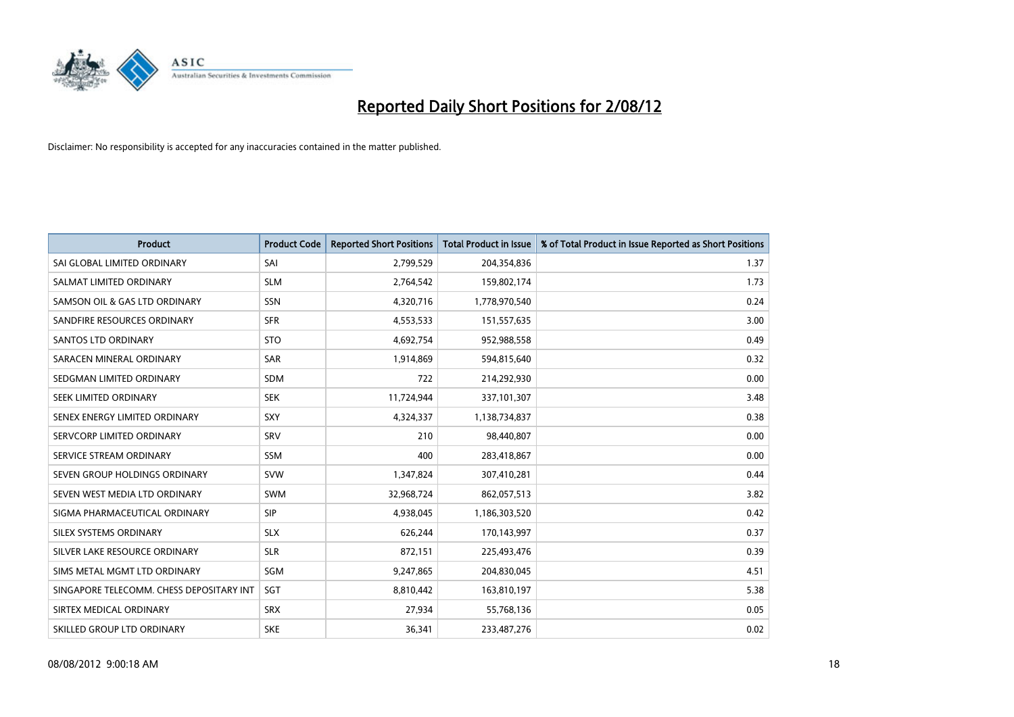

| <b>Product</b>                           | <b>Product Code</b> | <b>Reported Short Positions</b> | <b>Total Product in Issue</b> | % of Total Product in Issue Reported as Short Positions |
|------------------------------------------|---------------------|---------------------------------|-------------------------------|---------------------------------------------------------|
| SAI GLOBAL LIMITED ORDINARY              | SAI                 | 2,799,529                       | 204,354,836                   | 1.37                                                    |
| SALMAT LIMITED ORDINARY                  | <b>SLM</b>          | 2,764,542                       | 159,802,174                   | 1.73                                                    |
| SAMSON OIL & GAS LTD ORDINARY            | <b>SSN</b>          | 4,320,716                       | 1,778,970,540                 | 0.24                                                    |
| SANDFIRE RESOURCES ORDINARY              | <b>SFR</b>          | 4,553,533                       | 151,557,635                   | 3.00                                                    |
| <b>SANTOS LTD ORDINARY</b>               | <b>STO</b>          | 4,692,754                       | 952,988,558                   | 0.49                                                    |
| SARACEN MINERAL ORDINARY                 | <b>SAR</b>          | 1,914,869                       | 594,815,640                   | 0.32                                                    |
| SEDGMAN LIMITED ORDINARY                 | <b>SDM</b>          | 722                             | 214,292,930                   | 0.00                                                    |
| SEEK LIMITED ORDINARY                    | <b>SEK</b>          | 11,724,944                      | 337,101,307                   | 3.48                                                    |
| SENEX ENERGY LIMITED ORDINARY            | <b>SXY</b>          | 4,324,337                       | 1,138,734,837                 | 0.38                                                    |
| SERVCORP LIMITED ORDINARY                | SRV                 | 210                             | 98,440,807                    | 0.00                                                    |
| SERVICE STREAM ORDINARY                  | <b>SSM</b>          | 400                             | 283,418,867                   | 0.00                                                    |
| SEVEN GROUP HOLDINGS ORDINARY            | <b>SVW</b>          | 1,347,824                       | 307,410,281                   | 0.44                                                    |
| SEVEN WEST MEDIA LTD ORDINARY            | <b>SWM</b>          | 32,968,724                      | 862,057,513                   | 3.82                                                    |
| SIGMA PHARMACEUTICAL ORDINARY            | <b>SIP</b>          | 4,938,045                       | 1,186,303,520                 | 0.42                                                    |
| SILEX SYSTEMS ORDINARY                   | <b>SLX</b>          | 626,244                         | 170,143,997                   | 0.37                                                    |
| SILVER LAKE RESOURCE ORDINARY            | <b>SLR</b>          | 872,151                         | 225,493,476                   | 0.39                                                    |
| SIMS METAL MGMT LTD ORDINARY             | SGM                 | 9,247,865                       | 204,830,045                   | 4.51                                                    |
| SINGAPORE TELECOMM. CHESS DEPOSITARY INT | <b>SGT</b>          | 8,810,442                       | 163,810,197                   | 5.38                                                    |
| SIRTEX MEDICAL ORDINARY                  | <b>SRX</b>          | 27,934                          | 55,768,136                    | 0.05                                                    |
| SKILLED GROUP LTD ORDINARY               | <b>SKE</b>          | 36,341                          | 233,487,276                   | 0.02                                                    |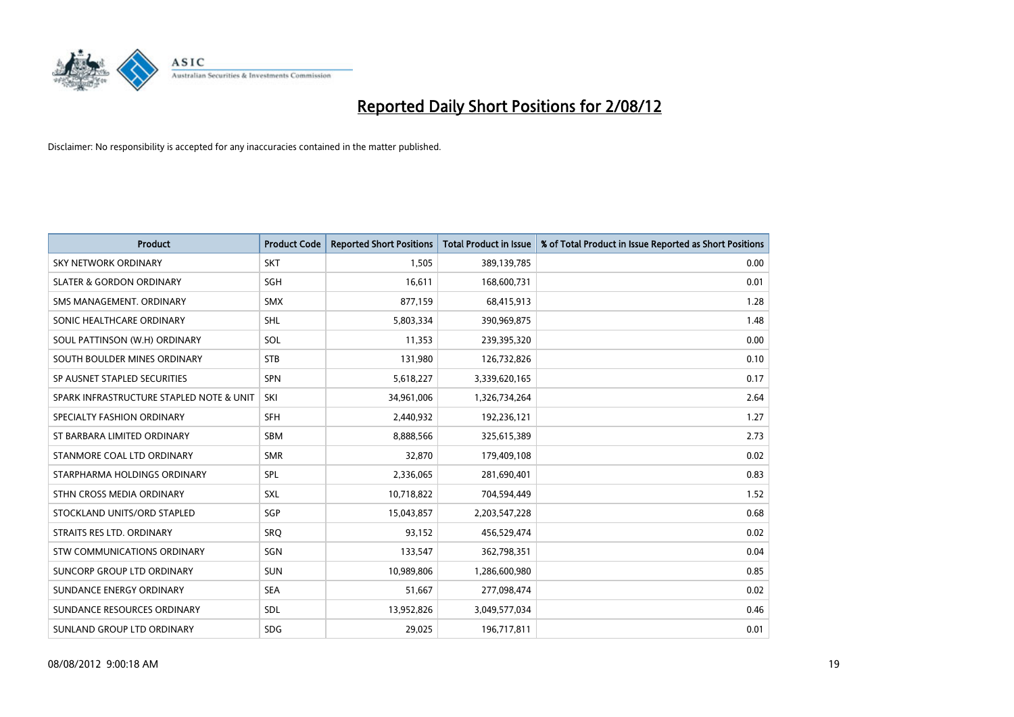

| <b>Product</b>                           | <b>Product Code</b> | <b>Reported Short Positions</b> | <b>Total Product in Issue</b> | % of Total Product in Issue Reported as Short Positions |
|------------------------------------------|---------------------|---------------------------------|-------------------------------|---------------------------------------------------------|
| <b>SKY NETWORK ORDINARY</b>              | <b>SKT</b>          | 1.505                           | 389,139,785                   | 0.00                                                    |
| <b>SLATER &amp; GORDON ORDINARY</b>      | <b>SGH</b>          | 16,611                          | 168,600,731                   | 0.01                                                    |
| SMS MANAGEMENT, ORDINARY                 | <b>SMX</b>          | 877,159                         | 68,415,913                    | 1.28                                                    |
| SONIC HEALTHCARE ORDINARY                | <b>SHL</b>          | 5,803,334                       | 390,969,875                   | 1.48                                                    |
| SOUL PATTINSON (W.H) ORDINARY            | SOL                 | 11,353                          | 239,395,320                   | 0.00                                                    |
| SOUTH BOULDER MINES ORDINARY             | <b>STB</b>          | 131,980                         | 126,732,826                   | 0.10                                                    |
| SP AUSNET STAPLED SECURITIES             | <b>SPN</b>          | 5,618,227                       | 3,339,620,165                 | 0.17                                                    |
| SPARK INFRASTRUCTURE STAPLED NOTE & UNIT | SKI                 | 34,961,006                      | 1,326,734,264                 | 2.64                                                    |
| SPECIALTY FASHION ORDINARY               | <b>SFH</b>          | 2,440,932                       | 192,236,121                   | 1.27                                                    |
| ST BARBARA LIMITED ORDINARY              | <b>SBM</b>          | 8,888,566                       | 325,615,389                   | 2.73                                                    |
| STANMORE COAL LTD ORDINARY               | <b>SMR</b>          | 32,870                          | 179,409,108                   | 0.02                                                    |
| STARPHARMA HOLDINGS ORDINARY             | SPL                 | 2,336,065                       | 281,690,401                   | 0.83                                                    |
| STHN CROSS MEDIA ORDINARY                | <b>SXL</b>          | 10,718,822                      | 704,594,449                   | 1.52                                                    |
| STOCKLAND UNITS/ORD STAPLED              | <b>SGP</b>          | 15,043,857                      | 2,203,547,228                 | 0.68                                                    |
| STRAITS RES LTD. ORDINARY                | SRO                 | 93,152                          | 456,529,474                   | 0.02                                                    |
| STW COMMUNICATIONS ORDINARY              | SGN                 | 133,547                         | 362,798,351                   | 0.04                                                    |
| SUNCORP GROUP LTD ORDINARY               | <b>SUN</b>          | 10,989,806                      | 1,286,600,980                 | 0.85                                                    |
| SUNDANCE ENERGY ORDINARY                 | <b>SEA</b>          | 51,667                          | 277,098,474                   | 0.02                                                    |
| SUNDANCE RESOURCES ORDINARY              | <b>SDL</b>          | 13,952,826                      | 3,049,577,034                 | 0.46                                                    |
| SUNLAND GROUP LTD ORDINARY               | <b>SDG</b>          | 29,025                          | 196,717,811                   | 0.01                                                    |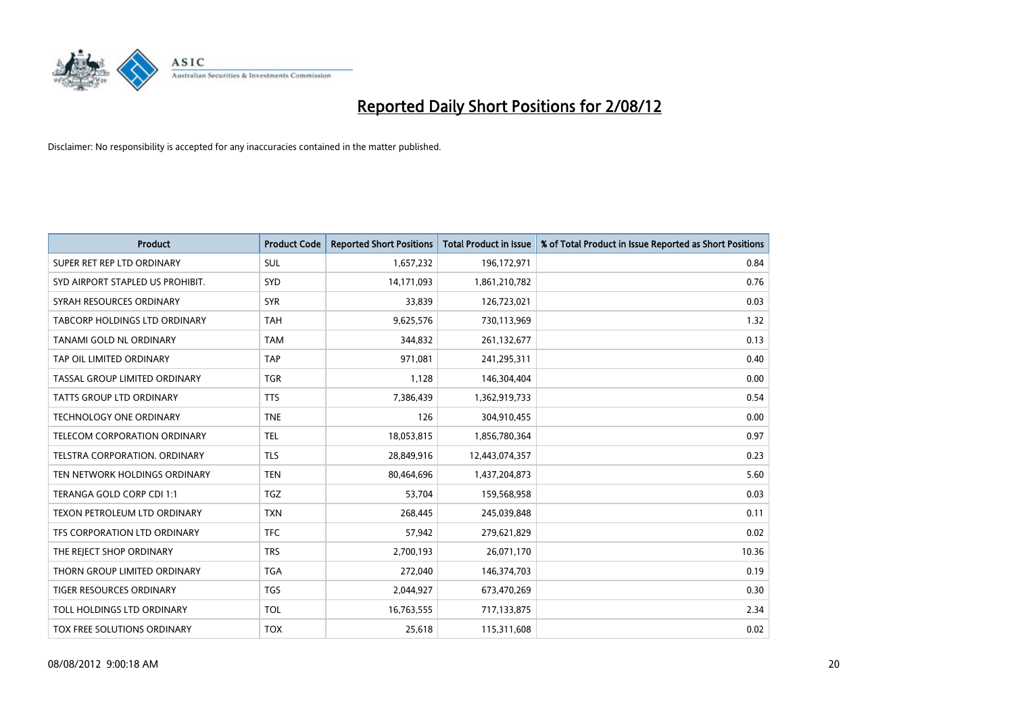

| <b>Product</b>                   | <b>Product Code</b> | <b>Reported Short Positions</b> | <b>Total Product in Issue</b> | % of Total Product in Issue Reported as Short Positions |
|----------------------------------|---------------------|---------------------------------|-------------------------------|---------------------------------------------------------|
| SUPER RET REP LTD ORDINARY       | <b>SUL</b>          | 1,657,232                       | 196,172,971                   | 0.84                                                    |
| SYD AIRPORT STAPLED US PROHIBIT. | <b>SYD</b>          | 14,171,093                      | 1,861,210,782                 | 0.76                                                    |
| SYRAH RESOURCES ORDINARY         | <b>SYR</b>          | 33,839                          | 126,723,021                   | 0.03                                                    |
| TABCORP HOLDINGS LTD ORDINARY    | <b>TAH</b>          | 9,625,576                       | 730,113,969                   | 1.32                                                    |
| TANAMI GOLD NL ORDINARY          | <b>TAM</b>          | 344,832                         | 261,132,677                   | 0.13                                                    |
| TAP OIL LIMITED ORDINARY         | <b>TAP</b>          | 971,081                         | 241,295,311                   | 0.40                                                    |
| TASSAL GROUP LIMITED ORDINARY    | <b>TGR</b>          | 1,128                           | 146,304,404                   | 0.00                                                    |
| TATTS GROUP LTD ORDINARY         | <b>TTS</b>          | 7,386,439                       | 1,362,919,733                 | 0.54                                                    |
| <b>TECHNOLOGY ONE ORDINARY</b>   | <b>TNE</b>          | 126                             | 304,910,455                   | 0.00                                                    |
| TELECOM CORPORATION ORDINARY     | <b>TEL</b>          | 18,053,815                      | 1,856,780,364                 | 0.97                                                    |
| TELSTRA CORPORATION. ORDINARY    | <b>TLS</b>          | 28,849,916                      | 12,443,074,357                | 0.23                                                    |
| TEN NETWORK HOLDINGS ORDINARY    | <b>TEN</b>          | 80,464,696                      | 1,437,204,873                 | 5.60                                                    |
| TERANGA GOLD CORP CDI 1:1        | <b>TGZ</b>          | 53,704                          | 159,568,958                   | 0.03                                                    |
| TEXON PETROLEUM LTD ORDINARY     | <b>TXN</b>          | 268,445                         | 245,039,848                   | 0.11                                                    |
| TFS CORPORATION LTD ORDINARY     | <b>TFC</b>          | 57,942                          | 279,621,829                   | 0.02                                                    |
| THE REJECT SHOP ORDINARY         | <b>TRS</b>          | 2,700,193                       | 26,071,170                    | 10.36                                                   |
| THORN GROUP LIMITED ORDINARY     | <b>TGA</b>          | 272,040                         | 146,374,703                   | 0.19                                                    |
| TIGER RESOURCES ORDINARY         | <b>TGS</b>          | 2,044,927                       | 673,470,269                   | 0.30                                                    |
| TOLL HOLDINGS LTD ORDINARY       | <b>TOL</b>          | 16,763,555                      | 717,133,875                   | 2.34                                                    |
| TOX FREE SOLUTIONS ORDINARY      | <b>TOX</b>          | 25,618                          | 115,311,608                   | 0.02                                                    |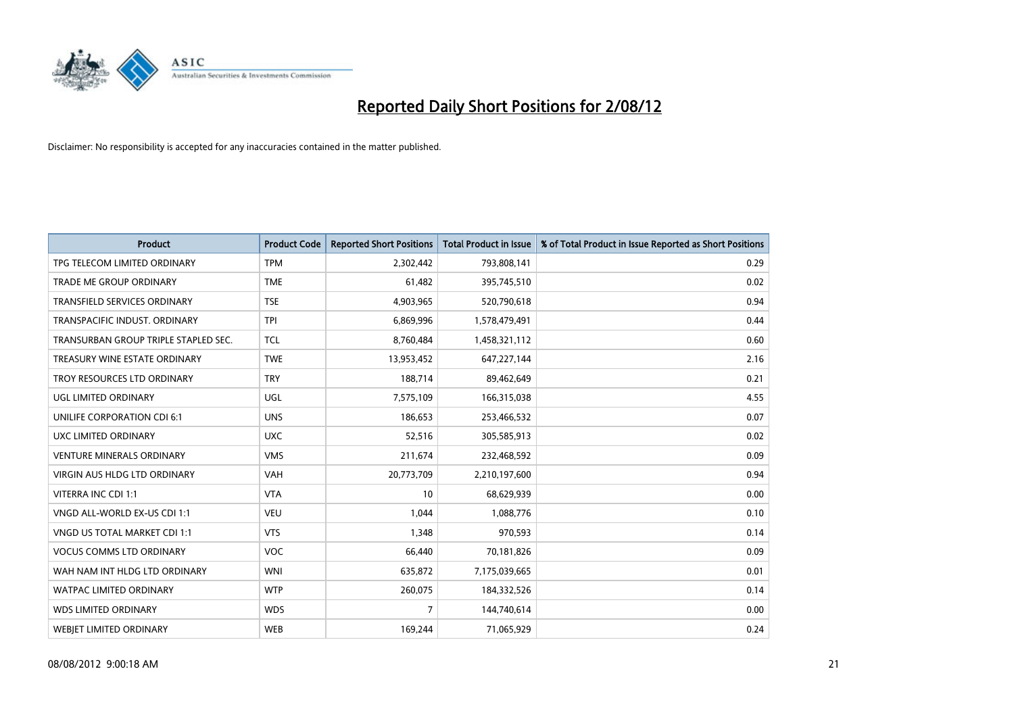

| <b>Product</b>                       | <b>Product Code</b> | <b>Reported Short Positions</b> | <b>Total Product in Issue</b> | % of Total Product in Issue Reported as Short Positions |
|--------------------------------------|---------------------|---------------------------------|-------------------------------|---------------------------------------------------------|
| TPG TELECOM LIMITED ORDINARY         | <b>TPM</b>          | 2,302,442                       | 793,808,141                   | 0.29                                                    |
| TRADE ME GROUP ORDINARY              | <b>TME</b>          | 61,482                          | 395,745,510                   | 0.02                                                    |
| TRANSFIELD SERVICES ORDINARY         | <b>TSE</b>          | 4,903,965                       | 520,790,618                   | 0.94                                                    |
| TRANSPACIFIC INDUST. ORDINARY        | <b>TPI</b>          | 6,869,996                       | 1,578,479,491                 | 0.44                                                    |
| TRANSURBAN GROUP TRIPLE STAPLED SEC. | <b>TCL</b>          | 8,760,484                       | 1,458,321,112                 | 0.60                                                    |
| TREASURY WINE ESTATE ORDINARY        | <b>TWE</b>          | 13,953,452                      | 647,227,144                   | 2.16                                                    |
| TROY RESOURCES LTD ORDINARY          | <b>TRY</b>          | 188,714                         | 89,462,649                    | 0.21                                                    |
| UGL LIMITED ORDINARY                 | UGL                 | 7,575,109                       | 166,315,038                   | 4.55                                                    |
| UNILIFE CORPORATION CDI 6:1          | <b>UNS</b>          | 186,653                         | 253,466,532                   | 0.07                                                    |
| UXC LIMITED ORDINARY                 | <b>UXC</b>          | 52,516                          | 305,585,913                   | 0.02                                                    |
| <b>VENTURE MINERALS ORDINARY</b>     | <b>VMS</b>          | 211,674                         | 232,468,592                   | 0.09                                                    |
| <b>VIRGIN AUS HLDG LTD ORDINARY</b>  | <b>VAH</b>          | 20,773,709                      | 2,210,197,600                 | 0.94                                                    |
| VITERRA INC CDI 1:1                  | <b>VTA</b>          | 10                              | 68,629,939                    | 0.00                                                    |
| VNGD ALL-WORLD EX-US CDI 1:1         | <b>VEU</b>          | 1,044                           | 1,088,776                     | 0.10                                                    |
| VNGD US TOTAL MARKET CDI 1:1         | <b>VTS</b>          | 1,348                           | 970,593                       | 0.14                                                    |
| <b>VOCUS COMMS LTD ORDINARY</b>      | <b>VOC</b>          | 66,440                          | 70,181,826                    | 0.09                                                    |
| WAH NAM INT HLDG LTD ORDINARY        | <b>WNI</b>          | 635,872                         | 7,175,039,665                 | 0.01                                                    |
| WATPAC LIMITED ORDINARY              | <b>WTP</b>          | 260,075                         | 184,332,526                   | 0.14                                                    |
| <b>WDS LIMITED ORDINARY</b>          | <b>WDS</b>          | $\overline{7}$                  | 144,740,614                   | 0.00                                                    |
| <b>WEBIET LIMITED ORDINARY</b>       | <b>WEB</b>          | 169,244                         | 71,065,929                    | 0.24                                                    |